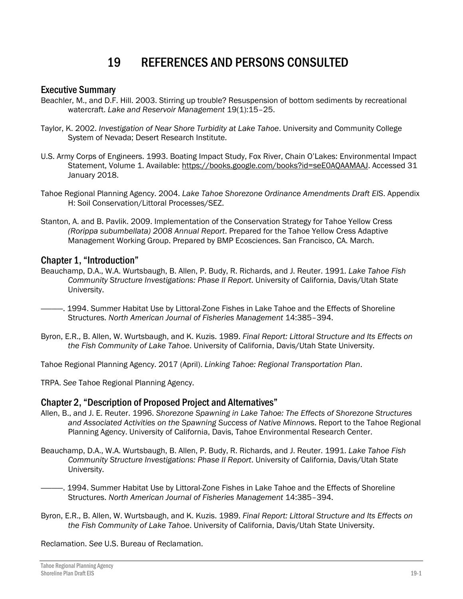# 19 REFERENCES AND PERSONS CONSULTED

## Executive Summary

- Beachler, M., and D.F. Hill. 2003. Stirring up trouble? Resuspension of bottom sediments by recreational watercraft. *Lake and Reservoir Management* 19(1):15–25.
- Taylor, K. 2002. *Investigation of Near Shore Turbidity at Lake Tahoe*. University and Community College System of Nevada; Desert Research Institute.
- U.S. Army Corps of Engineers. 1993. Boating Impact Study, Fox River, Chain O'Lakes: Environmental Impact Statement, Volume 1. Available: [https://books.google.com/books?id=seE0AQAAMAAJ.](https://books.google.com/books?id=seE0AQAAMAAJ) Accessed 31 January 2018.
- Tahoe Regional Planning Agency. 2004. *Lake Tahoe Shorezone Ordinance Amendments Draft EIS*. Appendix H: Soil Conservation/Littoral Processes/SEZ.
- Stanton, A. and B. Pavlik. 2009. Implementation of the Conservation Strategy for Tahoe Yellow Cress *(Rorippa subumbellata) 2008 Annual Report*. Prepared for the Tahoe Yellow Cress Adaptive Management Working Group. Prepared by BMP Ecosciences. San Francisco, CA. March.

#### Chapter 1, "Introduction"

- Beauchamp, D.A., W.A. Wurtsbaugh, B. Allen, P. Budy, R. Richards, and J. Reuter. 1991. *Lake Tahoe Fish Community Structure Investigations: Phase II Report*. University of California, Davis/Utah State University.
- ————. 1994. Summer Habitat Use by Littoral-Zone Fishes in Lake Tahoe and the Effects of Shoreline Structures. *North American Journal of Fisheries Management* 14:385–394.
- Byron, E.R., B. Allen, W. Wurtsbaugh, and K. Kuzis. 1989. *Final Report: Littoral Structure and Its Effects on the Fish Community of Lake Tahoe*. University of California, Davis/Utah State University.

Tahoe Regional Planning Agency. 2017 (April). *Linking Tahoe: Regional Transportation Plan*.

TRPA. *See* Tahoe Regional Planning Agency.

# Chapter 2, "Description of Proposed Project and Alternatives"

- Allen, B., and J. E. Reuter. 1996. *Shorezone Spawning in Lake Tahoe: The Effects of Shorezone Structures and Associated Activities on the Spawning Success of Native Minnows*. Report to the Tahoe Regional Planning Agency. University of California, Davis, Tahoe Environmental Research Center.
- Beauchamp, D.A., W.A. Wurtsbaugh, B. Allen, P. Budy, R. Richards, and J. Reuter. 1991. *Lake Tahoe Fish Community Structure Investigations: Phase II Report*. University of California, Davis/Utah State University.
- ————. 1994. Summer Habitat Use by Littoral-Zone Fishes in Lake Tahoe and the Effects of Shoreline Structures. *North American Journal of Fisheries Management* 14:385–394.
- Byron, E.R., B. Allen, W. Wurtsbaugh, and K. Kuzis. 1989. *Final Report: Littoral Structure and Its Effects on the Fish Community of Lake Tahoe*. University of California, Davis/Utah State University.

Reclamation. *See* U.S. Bureau of Reclamation.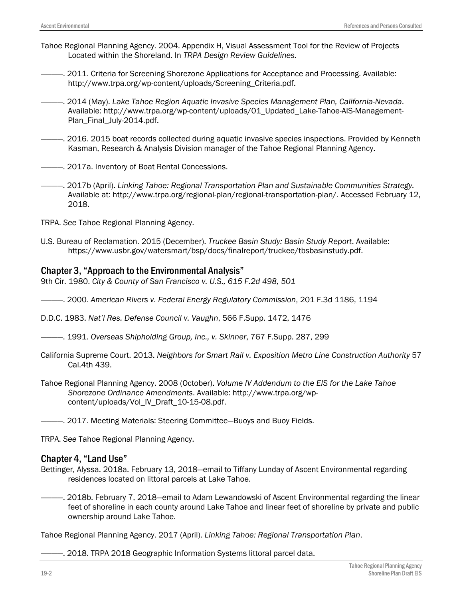- Tahoe Regional Planning Agency. 2004. Appendix H, Visual Assessment Tool for the Review of Projects Located within the Shoreland. In *TRPA Design Review Guidelines.*
	- ————. 2011. Criteria for Screening Shorezone Applications for Acceptance and Processing. Available: http://www.trpa.org/wp-content/uploads/Screening\_Criteria.pdf.
- ————. 2014 (May). *Lake Tahoe Region Aquatic Invasive Species Management Plan, California-Nevada*. Available: [http://www.trpa.org/wp-content/uploads/01\\_Updated\\_Lake-Tahoe-AIS-Management-](http://www.trpa.org/wp-content/uploads/01_Updated_Lake-Tahoe-AIS-Management-Plan_Final_July-2014.pdf)[Plan\\_Final\\_July-2014.pdf.](http://www.trpa.org/wp-content/uploads/01_Updated_Lake-Tahoe-AIS-Management-Plan_Final_July-2014.pdf)
- ————. 2016. 2015 boat records collected during aquatic invasive species inspections. Provided by Kenneth Kasman, Research & Analysis Division manager of the Tahoe Regional Planning Agency.
- 2017a. Inventory of Boat Rental Concessions.
- ————. 2017b (April). *Linking Tahoe: Regional Transportation Plan and Sustainable Communities Strategy.* Available at: http://www.trpa.org/regional-plan/regional-transportation-plan/. Accessed February 12, 2018.
- TRPA. *See* Tahoe Regional Planning Agency.
- U.S. Bureau of Reclamation. 2015 (December). *Truckee Basin Study: Basin Study Report*. Available: https://www.usbr.gov/watersmart/bsp/docs/finalreport/truckee/tbsbasinstudy.pdf.

#### Chapter 3, "Approach to the Environmental Analysis"

9th Cir. 1980. *City & County of San Francisco v. U.S., 615 F.2d 498, 501*

- ————. 2000. *American Rivers v. Federal Energy Regulatory Commission*, 201 F.3d 1186, 1194
- D.D.C. 1983. *Nat'l Res. Defense Council v. Vaughn*, 566 F.Supp. 1472, 1476
- ————. 1991. *Overseas Shipholding Group, Inc., v. Skinner*, 767 F.Supp. 287, 299
- California Supreme Court. 2013. *Neighbors for Smart Rail v. Exposition Metro Line Construction Authority* 57 Cal.4th 439.
- Tahoe Regional Planning Agency. 2008 (October). *Volume IV Addendum to the EIS for the Lake Tahoe Shorezone Ordinance Amendments*. Available: [http://www.trpa.org/wp](http://www.trpa.org/wp-content/uploads/Vol_IV_Draft_10-15-08.pdf)[content/uploads/Vol\\_IV\\_Draft\\_10-15-08.pdf.](http://www.trpa.org/wp-content/uploads/Vol_IV_Draft_10-15-08.pdf)
- ————. 2017. Meeting Materials: Steering Committee—Buoys and Buoy Fields.

TRPA. *See* Tahoe Regional Planning Agency.

#### Chapter 4, "Land Use"

- Bettinger, Alyssa. 2018a. February 13, 2018—email to Tiffany Lunday of Ascent Environmental regarding residences located on littoral parcels at Lake Tahoe.
	- ————. 2018b. February 7, 2018—email to Adam Lewandowski of Ascent Environmental regarding the linear feet of shoreline in each county around Lake Tahoe and linear feet of shoreline by private and public ownership around Lake Tahoe.

Tahoe Regional Planning Agency. 2017 (April). *Linking Tahoe: Regional Transportation Plan*.

-. 2018. TRPA 2018 Geographic Information Systems littoral parcel data.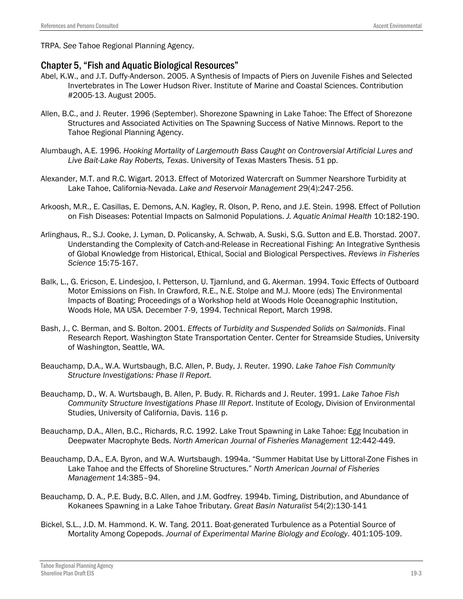TRPA. *See* Tahoe Regional Planning Agency.

#### Chapter 5, "Fish and Aquatic Biological Resources"

- Abel, K.W., and J.T. Duffy-Anderson. 2005. A Synthesis of Impacts of Piers on Juvenile Fishes and Selected Invertebrates in The Lower Hudson River. Institute of Marine and Coastal Sciences. Contribution #2005-13. August 2005.
- Allen, B.C., and J. Reuter. 1996 (September). Shorezone Spawning in Lake Tahoe: The Effect of Shorezone Structures and Associated Activities on The Spawning Success of Native Minnows. Report to the Tahoe Regional Planning Agency.
- Alumbaugh, A.E. 1996. *Hooking Mortality of Largemouth Bass Caught on Controversial Artificial Lures and Live Bait-Lake Ray Roberts, Texas*. University of Texas Masters Thesis. 51 pp.
- Alexander, M.T. and R.C. Wigart. 2013. Effect of Motorized Watercraft on Summer Nearshore Turbidity at Lake Tahoe, California-Nevada. *Lake and Reservoir Management* 29(4):247-256.
- Arkoosh, M.R., E. Casillas, E. Demons, A.N. Kagley, R. Olson, P. Reno, and J.E. Stein. 1998. Effect of Pollution on Fish Diseases: Potential Impacts on Salmonid Populations. *J. Aquatic Animal Health* 10:182-190.
- Arlinghaus, R., S.J. Cooke, J. Lyman, D. Policansky, A. Schwab, A. Suski, S.G. Sutton and E.B. Thorstad. 2007. Understanding the Complexity of Catch-and-Release in Recreational Fishing: An Integrative Synthesis of Global Knowledge from Historical, Ethical, Social and Biological Perspectives. *Reviews in Fisheries Science* 15:75-167.
- Balk, L., G. Ericson, E. Lindesjoo, I. Petterson, U. Tjarnlund, and G. Akerman. 1994. Toxic Effects of Outboard Motor Emissions on Fish. In Crawford, R.E., N.E. Stolpe and M.J. Moore (eds) The Environmental Impacts of Boating; Proceedings of a Workshop held at Woods Hole Oceanographic Institution, Woods Hole, MA USA. December 7-9, 1994. Technical Report, March 1998.
- Bash, J., C. Berman, and S. Bolton. 2001. *Effects of Turbidity and Suspended Solids on Salmonids*. Final Research Report. Washington State Transportation Center. Center for Streamside Studies, University of Washington, Seattle, WA.
- Beauchamp, D.A., W.A. Wurtsbaugh, B.C. Allen, P. Budy, J. Reuter. 1990. *Lake Tahoe Fish Community Structure Investigations: Phase II Report.*
- Beauchamp, D., W. A. Wurtsbaugh, B. Allen, P. Budy. R. Richards and J. Reuter. 1991. *Lake Tahoe Fish Community Structure Investigations Phase III Report*. Institute of Ecology, Division of Environmental Studies, University of California, Davis. 116 p.
- Beauchamp, D.A., Allen, B.C., Richards, R.C. 1992. Lake Trout Spawning in Lake Tahoe: Egg Incubation in Deepwater Macrophyte Beds. *North American Journal of Fisheries Management* 12:442-449.
- Beauchamp, D.A., E.A. Byron, and W.A. Wurtsbaugh. 1994a. "Summer Habitat Use by Littoral-Zone Fishes in Lake Tahoe and the Effects of Shoreline Structures." *North American Journal of Fisheries Management* 14:385–94.
- Beauchamp, D. A., P.E. Budy, B.C. Allen, and J.M. Godfrey. 1994b. Timing, Distribution, and Abundance of Kokanees Spawning in a Lake Tahoe Tributary. *Great Basin Naturalist* 54(2):130-141
- Bickel, S.L., J.D. M. Hammond. K. W. Tang. 2011. Boat-generated Turbulence as a Potential Source of Mortality Among Copepods. *Journal of Experimental Marine Biology and Ecology*. 401:105-109.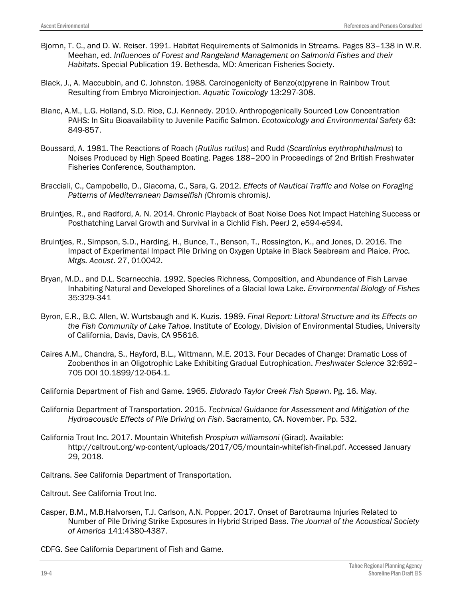- Bjornn, T. C., and D. W. Reiser. 1991. Habitat Requirements of Salmonids in Streams. Pages 83–138 in W.R. Meehan, ed. *Influences of Forest and Rangeland Management on Salmonid Fishes and their Habitats*. Special Publication 19. Bethesda, MD: American Fisheries Society.
- Black, J., A. Maccubbin, and C. Johnston. 1988. Carcinogenicity of Benzo(α)pyrene in Rainbow Trout Resulting from Embryo Microinjection. *Aquatic Toxicology* 13:297-308.
- Blanc, A.M., L.G. Holland, S.D. Rice, C.J. Kennedy. 2010. Anthropogenically Sourced Low Concentration PAHS: In Situ Bioavailability to Juvenile Pacific Salmon. *Ecotoxicology and Environmental Safety* 63: 849-857.
- Boussard, A. 1981. The Reactions of Roach (*Rutilus rutilus*) and Rudd (*Scardinius erythrophthalmus*) to Noises Produced by High Speed Boating. Pages 188–200 in Proceedings of 2nd British Freshwater Fisheries Conference, Southampton.
- Bracciali, C., Campobello, D., Giacoma, C., Sara, G. 2012. *Effects of Nautical Traffic and Noise on Foraging Patterns of Mediterranean Damselfish (*Chromis chromis*)*.
- Bruintjes, R., and Radford, A. N. 2014. Chronic Playback of Boat Noise Does Not Impact Hatching Success or Posthatching Larval Growth and Survival in a Cichlid Fish. PeerJ 2, e594-e594.
- Bruintjes, R., Simpson, S.D., Harding, H., Bunce, T., Benson, T., Rossington, K., and Jones, D. 2016. The Impact of Experimental Impact Pile Driving on Oxygen Uptake in Black Seabream and Plaice. *Proc. Mtgs. Acoust*. 27, 010042.
- Bryan, M.D., and D.L. Scarnecchia. 1992. Species Richness, Composition, and Abundance of Fish Larvae Inhabiting Natural and Developed Shorelines of a Glacial Iowa Lake. *Environmental Biology of Fishes* 35:329-341
- Byron, E.R., B.C. Allen, W. Wurtsbaugh and K. Kuzis. 1989. *Final Report: Littoral Structure and its Effects on the Fish Community of Lake Tahoe*. Institute of Ecology, Division of Environmental Studies, University of California, Davis, Davis, CA 95616.
- Caires A.M., Chandra, S., Hayford, B.L., Wittmann, M.E. 2013. Four Decades of Change: Dramatic Loss of Zoobenthos in an Oligotrophic Lake Exhibiting Gradual Eutrophication. *Freshwater Science* 32:692– 705 DOI 10.1899/12-064.1.
- California Department of Fish and Game. 1965. *Eldorado Taylor Creek Fish Spawn*. Pg. 16. May.
- California Department of Transportation. 2015. *Technical Guidance for Assessment and Mitigation of the Hydroacoustic Effects of Pile Driving on Fish*. Sacramento, CA. November. Pp. 532.
- California Trout Inc. 2017. Mountain Whitefish *Prospium williamsoni* (Girad). Available: http://caltrout.org/wp-content/uploads/2017/05/mountain-whitefish-final.pdf. Accessed January 29, 2018.
- Caltrans. *See* California Department of Transportation.
- Caltrout. *See* California Trout Inc.
- Casper, B.M., M.B.Halvorsen, T.J. Carlson, A.N. Popper. 2017. Onset of Barotrauma Injuries Related to Number of Pile Driving Strike Exposures in Hybrid Striped Bass. *The Journal of the Acoustical Society of America* 141:4380-4387.
- CDFG. *See* California Department of Fish and Game.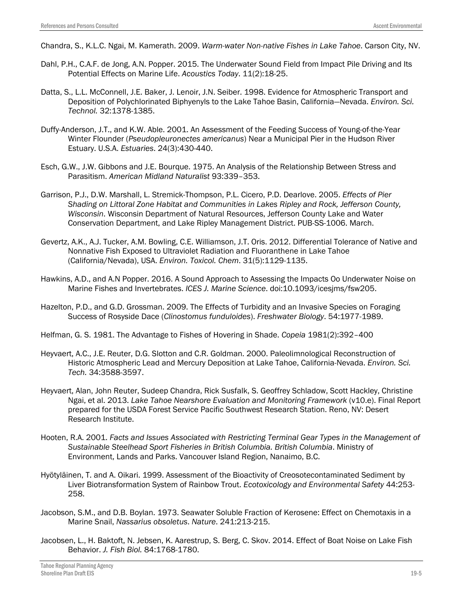Chandra, S., K.L.C. Ngai, M. Kamerath. 2009. *Warm-water Non-native Fishes in Lake Tahoe*. Carson City, NV.

- Dahl, P.H., C.A.F. de Jong, A.N. Popper. 2015. The Underwater Sound Field from Impact Pile Driving and Its Potential Effects on Marine Life. *Acoustics Today*. 11(2):18-25.
- Datta, S., L.L. McConnell, J.E. Baker, J. Lenoir, J.N. Seiber. 1998. Evidence for Atmospheric Transport and Deposition of Polychlorinated Biphyenyls to the Lake Tahoe Basin, California—Nevada. *Environ. Sci. Technol.* 32:1378-1385.
- Duffy-Anderson, J.T., and K.W. Able. 2001. An Assessment of the Feeding Success of Young-of-the-Year Winter Flounder (*Pseudopleuronectes americanus*) Near a Municipal Pier in the Hudson River Estuary. U.S.A. *Estuaries*. 24(3):430-440.
- Esch, G.W., J.W. Gibbons and J.E. Bourque. 1975. An Analysis of the Relationship Between Stress and Parasitism. *American Midland Naturalist* 93:339–353.
- Garrison, P.J., D.W. Marshall, L. Stremick-Thompson, P.L. Cicero, P.D. Dearlove. 2005. *Effects of Pier Shading on Littoral Zone Habitat and Communities in Lakes Ripley and Rock, Jefferson County, Wisconsin*. Wisconsin Department of Natural Resources, Jefferson County Lake and Water Conservation Department, and Lake Ripley Management District. PUB-SS-1006. March.
- Gevertz, A.K., A.J. Tucker, A.M. Bowling, C.E. Williamson, J.T. Oris. 2012. Differential Tolerance of Native and Nonnative Fish Exposed to Ultraviolet Radiation and Fluoranthene in Lake Tahoe (California/Nevada), USA. *Environ. Toxicol. Chem*. 31(5):1129-1135.
- Hawkins, A.D., and A.N Popper. 2016. A Sound Approach to Assessing the Impacts Oo Underwater Noise on Marine Fishes and Invertebrates. *ICES J. Marine Science*. doi:10.1093/icesjms/fsw205.
- Hazelton, P.D., and G.D. Grossman. 2009. The Effects of Turbidity and an Invasive Species on Foraging Success of Rosyside Dace (*Clinostomus funduloides*). *Freshwater Biology*. 54:1977-1989.
- Helfman, G. S. 1981. The Advantage to Fishes of Hovering in Shade. *Copeia* 1981(2):392–400
- Heyvaert, A.C., J.E. Reuter, D.G. Slotton and C.R. Goldman. 2000. Paleolimnological Reconstruction of Historic Atmospheric Lead and Mercury Deposition at Lake Tahoe, California-Nevada. *Environ. Sci. Tech.* 34:3588-3597.
- Heyvaert, Alan, John Reuter, Sudeep Chandra, Rick Susfalk, S. Geoffrey Schladow, Scott Hackley, Christine Ngai, et al. 2013. *Lake Tahoe Nearshore Evaluation and Monitoring Framework* (v10.e). Final Report prepared for the USDA Forest Service Pacific Southwest Research Station. Reno, NV: Desert Research Institute.
- Hooten, R.A. 2001. *Facts and Issues Associated with Restricting Terminal Gear Types in the Management of Sustainable Steelhead Sport Fisheries in British Columbia. British Columbia*. Ministry of Environment, Lands and Parks. Vancouver Island Region, Nanaimo, B.C.
- Hyötyläinen, T. and A. Oikari. 1999. Assessment of the Bioactivity of Creosotecontaminated Sediment by Liver Biotransformation System of Rainbow Trout. *Ecotoxicology and Environmental Safety* 44:253- 258.
- Jacobson, S.M., and D.B. Boylan. 1973. Seawater Soluble Fraction of Kerosene: Effect on Chemotaxis in a Marine Snail, *Nassarius obsoletus*. *Nature*. 241:213-215.
- Jacobsen, L., H. Baktoft, N. Jebsen, K. Aarestrup, S. Berg, C. Skov. 2014. Effect of Boat Noise on Lake Fish Behavior. *J. Fish Biol.* 84:1768-1780.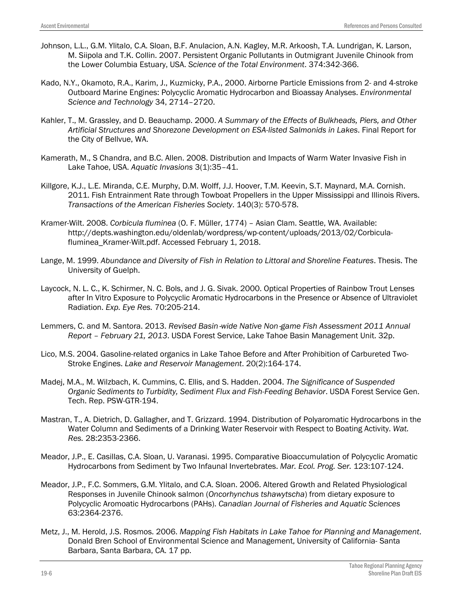- Johnson, L.L., G.M. Ylitalo, C.A. Sloan, B.F. Anulacion, A.N. Kagley, M.R. Arkoosh, T.A. Lundrigan, K. Larson, M. Siipola and T.K. Collin. 2007. Persistent Organic Pollutants in Outmigrant Juvenile Chinook from the Lower Columbia Estuary, USA. *Science of the Total Environment*. 374:342-366.
- Kado, N.Y., Okamoto, R.A., Karim, J., Kuzmicky, P.A., 2000. Airborne Particle Emissions from 2- and 4-stroke Outboard Marine Engines: Polycyclic Aromatic Hydrocarbon and Bioassay Analyses. *Environmental Science and Technology* 34, 2714–2720.
- Kahler, T., M. Grassley, and D. Beauchamp. 2000. *A Summary of the Effects of Bulkheads, Piers, and Other Artificial Structures and Shorezone Development on ESA-listed Salmonids in Lakes*. Final Report for the City of Bellvue, WA.
- Kamerath, M., S Chandra, and B.C. Allen. 2008. Distribution and Impacts of Warm Water Invasive Fish in Lake Tahoe, USA. *Aquatic Invasions* 3(1):35–41.
- Killgore, K.J., L.E. Miranda, C.E. Murphy, D.M. Wolff, J.J. Hoover, T.M. Keevin, S.T. Maynard, M.A. Cornish. 2011. Fish Entrainment Rate through Towboat Propellers in the Upper Mississippi and Illinois Rivers. *Transactions of the American Fisheries Society*. 140(3): 570-578.
- Kramer-Wilt. 2008. *Corbicula fluminea* (O. F. Müller, 1774) Asian Clam. Seattle, WA. Available: http://depts.washington.edu/oldenlab/wordpress/wp-content/uploads/2013/02/Corbiculafluminea\_Kramer-Wilt.pdf. Accessed February 1, 2018.
- Lange, M. 1999. *Abundance and Diversity of Fish in Relation to Littoral and Shoreline Features*. Thesis. The University of Guelph.
- Laycock, N. L. C., K. Schirmer, N. C. Bols, and J. G. Sivak. 2000. Optical Properties of Rainbow Trout Lenses after In Vitro Exposure to Polycyclic Aromatic Hydrocarbons in the Presence or Absence of Ultraviolet Radiation. *Exp. Eye Res.* 70:205-214.
- Lemmers, C. and M. Santora. 2013. *Revised Basin*‐*wide Native Non*‐*game Fish Assessment 2011 Annual Report – February 21, 2013*. USDA Forest Service, Lake Tahoe Basin Management Unit. 32p.
- Lico, M.S. 2004. Gasoline-related organics in Lake Tahoe Before and After Prohibition of Carbureted Two-Stroke Engines. *Lake and Reservoir Management*. 20(2):164-174.
- Madej, M.A., M. Wilzbach, K. Cummins, C. Ellis, and S. Hadden. 2004. *The Significance of Suspended Organic Sediments to Turbidity, Sediment Flux and Fish-Feeding Behavior*. USDA Forest Service Gen. Tech. Rep. PSW-GTR-194.
- Mastran, T., A. Dietrich, D. Gallagher, and T. Grizzard. 1994. Distribution of Polyaromatic Hydrocarbons in the Water Column and Sediments of a Drinking Water Reservoir with Respect to Boating Activity. *Wat. Res.* 28:2353-2366.
- Meador, J.P., E. Casillas, C.A. Sloan, U. Varanasi. 1995. Comparative Bioaccumulation of Polycyclic Aromatic Hydrocarbons from Sediment by Two Infaunal Invertebrates. *Mar. Ecol. Prog. Ser.* 123:107-124.
- Meador, J.P., F.C. Sommers, G.M. Ylitalo, and C.A. Sloan. 2006. Altered Growth and Related Physiological Responses in Juvenile Chinook salmon (*Oncorhynchus tshawytscha*) from dietary exposure to Polycyclic Aromoatic Hydrocarbons (PAHs). *Canadian Journal of Fisheries and Aquatic Sciences* 63:2364-2376.
- Metz, J., M. Herold, J.S. Rosmos. 2006. *Mapping Fish Habitats in Lake Tahoe for Planning and Management*. Donald Bren School of Environmental Science and Management, University of California- Santa Barbara, Santa Barbara, CA. 17 pp.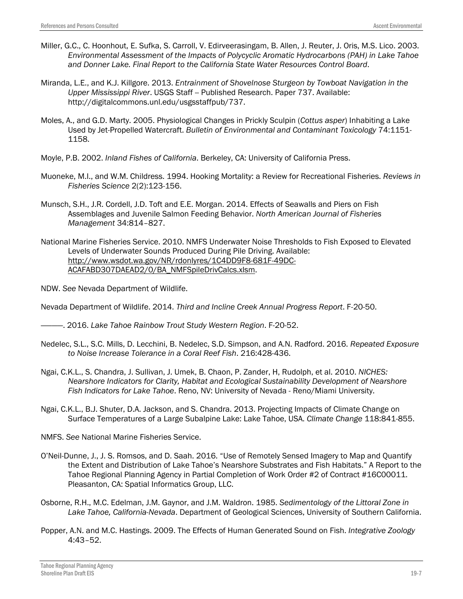- Miller, G.C., C. Hoonhout, E. Sufka, S. Carroll, V. Edirveerasingam, B. Allen, J. Reuter, J. Oris, M.S. Lico. 2003. *Environmental Assessment of the Impacts of Polycyclic Aromatic Hydrocarbons (PAH) in Lake Tahoe and Donner Lake. Final Report to the California State Water Resources Control Board*.
- Miranda, L.E., and K.J. Killgore. 2013. *Entrainment of Shovelnose Sturgeon by Towboat Navigation in the Upper Mississippi River*. USGS Staff -- Published Research. Paper 737. Available: http://digitalcommons.unl.edu/usgsstaffpub/737.
- Moles, A., and G.D. Marty. 2005. Physiological Changes in Prickly Sculpin (*Cottus asper*) Inhabiting a Lake Used by Jet-Propelled Watercraft. *Bulletin of Environmental and Contaminant Toxicology* 74:1151- 1158.
- Moyle, P.B. 2002. *Inland Fishes of California*. Berkeley, CA: University of California Press.
- Muoneke, M.I., and W.M. Childress. 1994. Hooking Mortality: a Review for Recreational Fisheries. *Reviews in Fisheries Science* 2(2):123-156.
- Munsch, S.H., J.R. Cordell, J.D. Toft and E.E. Morgan. 2014. Effects of Seawalls and Piers on Fish Assemblages and Juvenile Salmon Feeding Behavior. *North American Journal of Fisheries Management* 34:814–827.
- National Marine Fisheries Service. 2010. NMFS Underwater Noise Thresholds to Fish Exposed to Elevated Levels of Underwater Sounds Produced During Pile Driving. Available: [http://www.wsdot.wa.gov/NR/rdonlyres/1C4DD9F8-681F-49DC-](http://www.wsdot.wa.gov/NR/rdonlyres/1C4DD9F8-681F-49DC-ACAFABD307DAEAD2/0/BA_NMFSpileDrivCalcs.xlsm)[ACAFABD307DAEAD2/0/BA\\_NMFSpileDrivCalcs.xlsm.](http://www.wsdot.wa.gov/NR/rdonlyres/1C4DD9F8-681F-49DC-ACAFABD307DAEAD2/0/BA_NMFSpileDrivCalcs.xlsm)

NDW. *See* Nevada Department of Wildlife.

Nevada Department of Wildlife. 2014. *Third and Incline Creek Annual Progress Report*. F-20-50.

————. 2016. *Lake Tahoe Rainbow Trout Study Western Region*. F-20-52.

- Nedelec, S.L., S.C. Mills, D. Lecchini, B. Nedelec, S.D. Simpson, and A.N. Radford. 2016. *Repeated Exposure to Noise Increase Tolerance in a Coral Reef Fish*. 216:428-436.
- Ngai, C.K.L., S. Chandra, J. Sullivan, J. Umek, B. Chaon, P. Zander, H, Rudolph, et al. 2010. *NICHES: Nearshore Indicators for Clarity, Habitat and Ecological Sustainability Development of Nearshore Fish Indicators for Lake Tahoe*. Reno, NV: University of Nevada - Reno/Miami University.
- Ngai, C.K.L., B.J. Shuter, D.A. Jackson, and S. Chandra. 2013. Projecting Impacts of Climate Change on Surface Temperatures of a Large Subalpine Lake: Lake Tahoe, USA. *Climate Change* 118:841-855.
- NMFS. *See* National Marine Fisheries Service.
- O'Neil-Dunne, J., J. S. Romsos, and D. Saah. 2016. "Use of Remotely Sensed Imagery to Map and Quantify the Extent and Distribution of Lake Tahoe's Nearshore Substrates and Fish Habitats." A Report to the Tahoe Regional Planning Agency in Partial Completion of Work Order #2 of Contract #16C00011. Pleasanton, CA: Spatial Informatics Group, LLC.
- Osborne, R.H., M.C. Edelman, J.M. Gaynor, and J.M. Waldron. 1985. *Sedimentology of the Littoral Zone in Lake Tahoe, California-Nevada*. Department of Geological Sciences, University of Southern California.
- Popper, A.N. and M.C. Hastings. 2009. The Effects of Human Generated Sound on Fish. *Integrative Zoology* 4:43–52.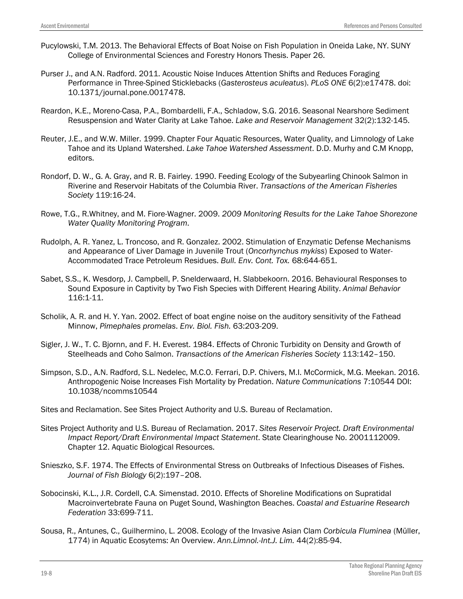- Pucylowski, T.M. 2013. The Behavioral Effects of Boat Noise on Fish Population in Oneida Lake, NY. SUNY College of Environmental Sciences and Forestry Honors Thesis. Paper 26.
- Purser J., and A.N. Radford. 2011. Acoustic Noise Induces Attention Shifts and Reduces Foraging Performance in Three-Spined Sticklebacks (*Gasterosteus aculeatus*). *PLoS ONE* 6(2):e17478. doi: 10.1371/journal.pone.0017478.
- Reardon, K.E., Moreno-Casa, P.A., Bombardelli, F.A., Schladow, S.G. 2016. Seasonal Nearshore Sediment Resuspension and Water Clarity at Lake Tahoe. *Lake and Reservoir Management* 32(2):132-145.
- Reuter, J.E., and W.W. Miller. 1999. Chapter Four Aquatic Resources, Water Quality, and Limnology of Lake Tahoe and its Upland Watershed. *Lake Tahoe Watershed Assessment*. D.D. Murhy and C.M Knopp, editors.
- Rondorf, D. W., G. A. Gray, and R. B. Fairley. 1990. Feeding Ecology of the Subyearling Chinook Salmon in Riverine and Reservoir Habitats of the Columbia River. *Transactions of the American Fisheries Society* 119:16-24.
- Rowe, T.G., R.Whitney, and M. Fiore-Wagner. 2009. *2009 Monitoring Results for the Lake Tahoe Shorezone Water Quality Monitoring Program*.
- Rudolph, A. R. Yanez, L. Troncoso, and R. Gonzalez. 2002. Stimulation of Enzymatic Defense Mechanisms and Appearance of Liver Damage in Juvenile Trout (*Oncorhynchus mykiss*) Exposed to Water-Accommodated Trace Petroleum Residues. *Bull. Env. Cont. Tox.* 68:644-651.
- Sabet, S.S., K. Wesdorp, J. Campbell, P. Snelderwaard, H. Slabbekoorn. 2016. Behavioural Responses to Sound Exposure in Captivity by Two Fish Species with Different Hearing Ability. *Animal Behavior* 116:1-11.
- Scholik, A. R. and H. Y. Yan. 2002. Effect of boat engine noise on the auditory sensitivity of the Fathead Minnow, *Pimephales promelas*. *Env. Biol. Fish.* 63:203-209.
- Sigler, J. W., T. C. Bjornn, and F. H. Everest. 1984. Effects of Chronic Turbidity on Density and Growth of Steelheads and Coho Salmon. *Transactions of the American Fisheries Society* 113:142–150.
- Simpson, S.D., A.N. Radford, S.L. Nedelec, M.C.O. Ferrari, D.P. Chivers, M.I. McCormick, M.G. Meekan. 2016. Anthropogenic Noise Increases Fish Mortality by Predation. *Nature Communications* 7:10544 DOI: 10.1038/ncomms10544
- Sites and Reclamation. See Sites Project Authority and U.S. Bureau of Reclamation.
- Sites Project Authority and U.S. Bureau of Reclamation. 2017. *Sites Reservoir Project. Draft Environmental Impact Report/Draft Environmental Impact Statement*. State Clearinghouse No. 2001112009. Chapter 12. Aquatic Biological Resources.
- Snieszko, S.F. 1974. The Effects of Environmental Stress on Outbreaks of Infectious Diseases of Fishes. *Journal of Fish Biology* 6(2):197–208.
- Sobocinski, K.L., J.R. Cordell, C.A. Simenstad. 2010. Effects of Shoreline Modifications on Supratidal Macroinvertebrate Fauna on Puget Sound, Washington Beaches. *Coastal and Estuarine Research Federation* 33:699-711.
- Sousa, R., Antunes, C., Guilhermino, L. 2008. Ecology of the Invasive Asian Clam *Corbicula Fluminea* (Müller, 1774) in Aquatic Ecosytems: An Overview. *Ann.Limnol.-Int.J. Lim.* 44(2):85-94.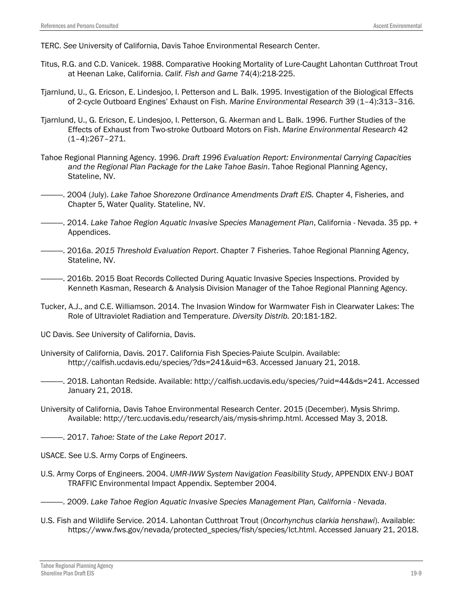TERC. *See* University of California, Davis Tahoe Environmental Research Center.

- Titus, R.G. and C.D. Vanicek. 1988. Comparative Hooking Mortality of Lure-Caught Lahontan Cutthroat Trout at Heenan Lake, California. *Calif. Fish and Game* 74(4):218-225.
- Tjarnlund, U., G. Ericson, E. Lindesjoo, I. Petterson and L. Balk. 1995. Investigation of the Biological Effects of 2-cycle Outboard Engines' Exhaust on Fish. *Marine Environmental Research* 39 (1–4):313–316.
- Tjarnlund, U., G. Ericson, E. Lindesjoo, I. Petterson, G. Akerman and L. Balk. 1996. Further Studies of the Effects of Exhaust from Two-stroke Outboard Motors on Fish. *Marine Environmental Research* 42 (1–4):267–271.
- Tahoe Regional Planning Agency. 1996. *Draft 1996 Evaluation Report: Environmental Carrying Capacities and the Regional Plan Package for the Lake Tahoe Basin*. Tahoe Regional Planning Agency, Stateline, NV.
- ————. 2004 (July). *Lake Tahoe Shorezone Ordinance Amendments Draft EIS.* Chapter 4, Fisheries, and Chapter 5, Water Quality. Stateline, NV.
- ————. 2014. *Lake Tahoe Region Aquatic Invasive Species Management Plan*, California Nevada. 35 pp. + Appendices.
- ————. 2016a. *2015 Threshold Evaluation Report*. Chapter 7 Fisheries. Tahoe Regional Planning Agency, Stateline, NV.
- ————. 2016b. 2015 Boat Records Collected During Aquatic Invasive Species Inspections. Provided by Kenneth Kasman, Research & Analysis Division Manager of the Tahoe Regional Planning Agency.
- Tucker, A.J., and C.E. Williamson. 2014. The Invasion Window for Warmwater Fish in Clearwater Lakes: The Role of Ultraviolet Radiation and Temperature. *Diversity Distrib.* 20:181-182.
- UC Davis. *See* University of California, Davis.
- University of California, Davis. 2017. California Fish Species-Paiute Sculpin. Available: [http://calfish.ucdavis.edu/species/?ds=241&uid=63.](http://calfish.ucdavis.edu/species/?ds=241&uid=63) Accessed January 21, 2018.
- ————. 2018. Lahontan Redside. Available: http://calfish.ucdavis.edu/species/?uid=44&ds=241. Accessed January 21, 2018.
- University of California, Davis Tahoe Environmental Research Center. 2015 (December). Mysis Shrimp. Available: http://terc.ucdavis.edu/research/ais/mysis-shrimp.html. Accessed May 3, 2018.
- $-$ . 2017. *Tahoe: State of the Lake Report 2017*.
- USACE. See U.S. Army Corps of Engineers.
- U.S. Army Corps of Engineers. 2004. *UMR-IWW System Navigation Feasibility Study*, APPENDIX ENV-J BOAT TRAFFIC Environmental Impact Appendix. September 2004.
- ————. 2009. *Lake Tahoe Region Aquatic Invasive Species Management Plan, California - Nevada*.
- U.S. Fish and Wildlife Service. 2014. Lahontan Cutthroat Trout (*Oncorhynchus clarkia henshawi*). Available: https://www.fws.gov/nevada/protected\_species/fish/species/lct.html. Accessed January 21, 2018.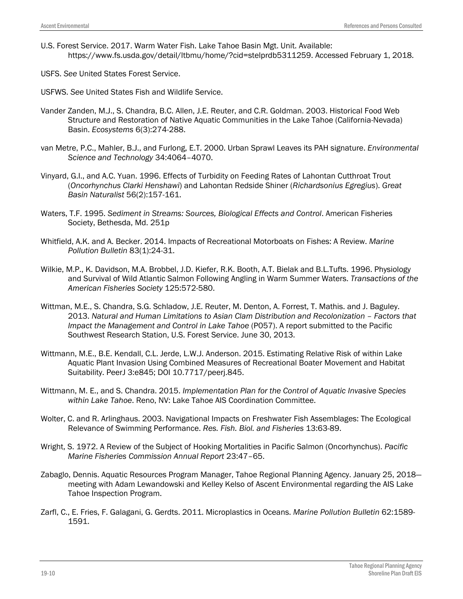- U.S. Forest Service. 2017. Warm Water Fish. Lake Tahoe Basin Mgt. Unit. Available: https://www.fs.usda.gov/detail/ltbmu/home/?cid=stelprdb5311259. Accessed February 1, 2018.
- USFS. *See* United States Forest Service.

USFWS. *See* United States Fish and Wildlife Service.

- Vander Zanden, M.J., S. Chandra, B.C. Allen, J.E. Reuter, and C.R. Goldman. 2003. Historical Food Web Structure and Restoration of Native Aquatic Communities in the Lake Tahoe (California-Nevada) Basin. *Ecosystems* 6(3):274-288.
- van Metre, P.C., Mahler, B.J., and Furlong, E.T. 2000. Urban Sprawl Leaves its PAH signature. *Environmental Science and Technology* 34:4064–4070.
- Vinyard, G.I., and A.C. Yuan. 1996. Effects of Turbidity on Feeding Rates of Lahontan Cutthroat Trout (*Oncorhynchus Clarki Henshawi*) and Lahontan Redside Shiner (*Richardsonius Egregius*). *Great Basin Naturalist* 56(2):157-161.
- Waters, T.F. 1995. *Sediment in Streams: Sources, Biological Effects and Control*. American Fisheries Society, Bethesda, Md. 251p
- Whitfield, A.K. and A. Becker. 2014. Impacts of Recreational Motorboats on Fishes: A Review. *Marine Pollution Bulletin* 83(1):24-31.
- Wilkie, M.P., K. Davidson, M.A. Brobbel, J.D. Kiefer, R.K. Booth, A.T. Bielak and B.L.Tufts. 1996. Physiology and Survival of Wild Atlantic Salmon Following Angling in Warm Summer Waters. *Transactions of the American Fisheries Society* 125:572-580.
- Wittman, M.E., S. Chandra, S.G. Schladow, J.E. Reuter, M. Denton, A. Forrest, T. Mathis. and J. Baguley. 2013. *Natural and Human Limitations to Asian Clam Distribution and Recolonization – Factors that Impact the Management and Control in Lake Tahoe* (P057). A report submitted to the Pacific Southwest Research Station, U.S. Forest Service. June 30, 2013.
- Wittmann, M.E., B.E. Kendall, C.L. Jerde, L.W.J. Anderson. 2015. Estimating Relative Risk of within Lake Aquatic Plant Invasion Using Combined Measures of Recreational Boater Movement and Habitat Suitability. PeerJ 3:e845; DOI 10.7717/peerj.845.
- Wittmann, M. E., and S. Chandra. 2015. *Implementation Plan for the Control of Aquatic Invasive Species within Lake Tahoe*. Reno, NV: Lake Tahoe AIS Coordination Committee.
- Wolter, C. and R. Arlinghaus. 2003. Navigational Impacts on Freshwater Fish Assemblages: The Ecological Relevance of Swimming Performance. *Res. Fish. Biol. and Fisheries* 13:63-89.
- Wright, S. 1972. A Review of the Subject of Hooking Mortalities in Pacific Salmon (Oncorhynchus). *Pacific Marine Fisheries Commission Annual Report* 23:47–65.
- Zabaglo, Dennis. Aquatic Resources Program Manager, Tahoe Regional Planning Agency. January 25, 2018 meeting with Adam Lewandowski and Kelley Kelso of Ascent Environmental regarding the AIS Lake Tahoe Inspection Program.
- Zarfl, C., E. Fries, F. Galagani, G. Gerdts. 2011. Microplastics in Oceans. *Marine Pollution Bulletin* 62:1589- 1591.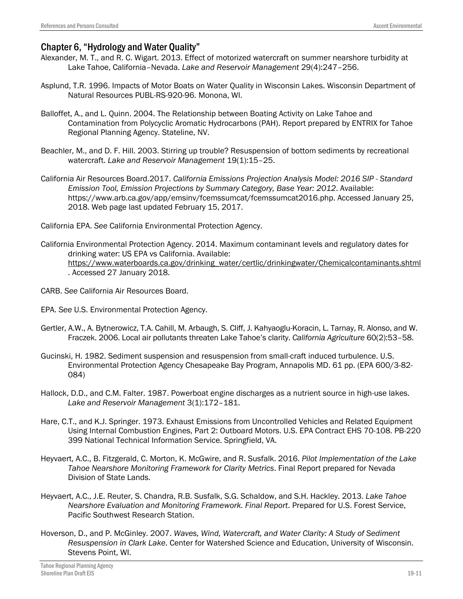# Chapter 6, "Hydrology and Water Quality"

- Alexander, M. T., and R. C. Wigart. 2013. Effect of motorized watercraft on summer nearshore turbidity at Lake Tahoe, California–Nevada. *Lake and Reservoir Management* 29(4):247–256.
- Asplund, T.R. 1996. Impacts of Motor Boats on Water Quality in Wisconsin Lakes. Wisconsin Department of Natural Resources PUBL-RS-920-96. Monona, WI.
- Balloffet, A., and L. Quinn. 2004. The Relationship between Boating Activity on Lake Tahoe and Contamination from Polycyclic Aromatic Hydrocarbons (PAH). Report prepared by ENTRIX for Tahoe Regional Planning Agency. Stateline, NV.
- Beachler, M., and D. F. Hill. 2003. Stirring up trouble? Resuspension of bottom sediments by recreational watercraft. *Lake and Reservoir Management* 19(1):15–25.
- California Air Resources Board.2017. *California Emissions Projection Analysis Model: 2016 SIP - Standard Emission Tool, Emission Projections by Summary Category, Base Year: 2012*. Available: https://www.arb.ca.gov/app/emsinv/fcemssumcat/fcemssumcat2016.php. Accessed January 25, 2018. Web page last updated February 15, 2017.
- California EPA. *See* California Environmental Protection Agency.
- California Environmental Protection Agency. 2014. Maximum contaminant levels and regulatory dates for drinking water: US EPA vs California. Available: [https://www.waterboards.ca.gov/drinking\\_water/certlic/drinkingwater/Chemicalcontaminants.shtml](https://www.waterboards.ca.gov/drinking_water/certlic/drinkingwater/Chemicalcontaminants.shtml) . Accessed 27 January 2018.
- CARB. *See* California Air Resources Board.
- EPA. *See* U.S. Environmental Protection Agency.
- Gertler, A.W., A. Bytnerowicz, T.A. Cahill, M. Arbaugh, S. Cliff, J. Kahyaoglu-Koracin, L. Tarnay, R. Alonso, and W. Fraczek. 2006. Local air pollutants threaten Lake Tahoe's clarity. *California Agriculture* 60(2):53–58.
- Gucinski, H. 1982. Sediment suspension and resuspension from small-craft induced turbulence. U.S. Environmental Protection Agency Chesapeake Bay Program, Annapolis MD. 61 pp. (EPA 600/3-82- 084)
- Hallock, D.D., and C.M. Falter. 1987. Powerboat engine discharges as a nutrient source in high-use lakes. *Lake and Reservoir Management* 3(1):172–181.
- Hare, C.T., and K.J. Springer. 1973. Exhaust Emissions from Uncontrolled Vehicles and Related Equipment Using Internal Combustion Engines, Part 2: Outboard Motors. U.S. EPA Contract EHS 70-108. PB-220 399 National Technical Information Service. Springfield, VA.
- Heyvaert, A.C., B. Fitzgerald, C. Morton, K. McGwire, and R. Susfalk. 2016. *Pilot Implementation of the Lake Tahoe Nearshore Monitoring Framework for Clarity Metrics*. Final Report prepared for Nevada Division of State Lands.
- Heyvaert, A.C., J.E. Reuter, S. Chandra, R.B. Susfalk, S.G. Schaldow, and S.H. Hackley. 2013. *Lake Tahoe Nearshore Evaluation and Monitoring Framework. Final Report*. Prepared for U.S. Forest Service, Pacific Southwest Research Station.
- Hoverson, D., and P. McGinley. 2007. *Waves, Wind, Watercraft, and Water Clarity: A Study of Sediment Resuspension in Clark Lake*. Center for Watershed Science and Education, University of Wisconsin. Stevens Point, WI.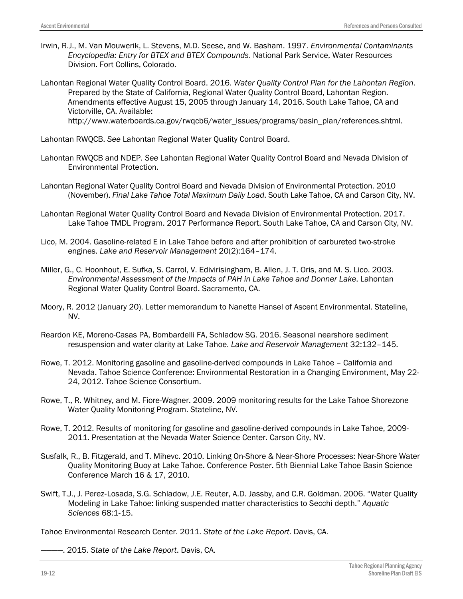Irwin, R.J., M. Van Mouwerik, L. Stevens, M.D. Seese, and W. Basham. 1997. *Environmental Contaminants Encyclopedia: Entry for BTEX and BTEX Compounds*. National Park Service, Water Resources Division. Fort Collins, Colorado.

Lahontan Regional Water Quality Control Board. 2016. *Water Quality Control Plan for the Lahontan Region*. Prepared by the State of California, Regional Water Quality Control Board, Lahontan Region. Amendments effective August 15, 2005 through January 14, 2016. South Lake Tahoe, CA and Victorville, CA. Available: http://www.waterboards.ca.gov/rwqcb6/water\_issues/programs/basin\_plan/references.shtml.

Lahontan RWQCB. *See* Lahontan Regional Water Quality Control Board.

- Lahontan RWQCB and NDEP. *See* Lahontan Regional Water Quality Control Board and Nevada Division of Environmental Protection.
- Lahontan Regional Water Quality Control Board and Nevada Division of Environmental Protection. 2010 (November). *Final Lake Tahoe Total Maximum Daily Load*. South Lake Tahoe, CA and Carson City, NV.
- Lahontan Regional Water Quality Control Board and Nevada Division of Environmental Protection. 2017. Lake Tahoe TMDL Program. 2017 Performance Report. South Lake Tahoe, CA and Carson City, NV.
- Lico, M. 2004. Gasoline-related E in Lake Tahoe before and after prohibition of carbureted two-stroke engines. *Lake and Reservoir Management* 20(2):164–174.
- Miller, G., C. Hoonhout, E. Sufka, S. Carrol, V. Edivirisingham, B. Allen, J. T. Oris, and M. S. Lico. 2003. *Environmental Assessment of the Impacts of PAH in Lake Tahoe and Donner Lake*. Lahontan Regional Water Quality Control Board. Sacramento, CA.
- Moory, R. 2012 (January 20). Letter memorandum to Nanette Hansel of Ascent Environmental. Stateline, NV.
- Reardon KE, Moreno-Casas PA, Bombardelli FA, Schladow SG. 2016. Seasonal nearshore sediment resuspension and water clarity at Lake Tahoe. *Lake and Reservoir Management* 32:132–145.
- Rowe, T. 2012. Monitoring gasoline and gasoline-derived compounds in Lake Tahoe California and Nevada. Tahoe Science Conference: Environmental Restoration in a Changing Environment, May 22- 24, 2012. Tahoe Science Consortium.
- Rowe, T., R. Whitney, and M. Fiore-Wagner. 2009. 2009 monitoring results for the Lake Tahoe Shorezone Water Quality Monitoring Program. Stateline, NV.
- Rowe, T. 2012. Results of monitoring for gasoline and gasoline-derived compounds in Lake Tahoe, 2009- 2011. Presentation at the Nevada Water Science Center. Carson City, NV.
- Susfalk, R., B. Fitzgerald, and T. Mihevc. 2010. Linking On-Shore & Near-Shore Processes: Near-Shore Water Quality Monitoring Buoy at Lake Tahoe. Conference Poster. 5th Biennial Lake Tahoe Basin Science Conference March 16 & 17, 2010.
- Swift, T.J., J. Perez‐Losada, S.G. Schladow, J.E. Reuter, A.D. Jassby, and C.R. Goldman. 2006. "Water Quality Modeling in Lake Tahoe: linking suspended matter characteristics to Secchi depth." *Aquatic Sciences* 68:1‐15.

Tahoe Environmental Research Center. 2011. *State of the Lake Report*. Davis, CA.

————. 2015. *State of the Lake Report*. Davis, CA.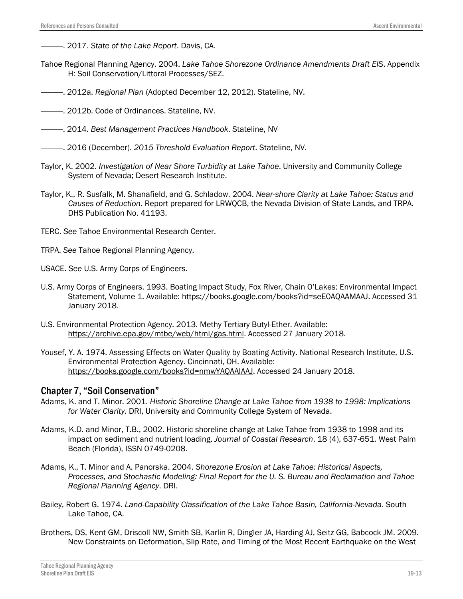- ————. 2017. *State of the Lake Report*. Davis, CA.
- Tahoe Regional Planning Agency. 2004. *Lake Tahoe Shorezone Ordinance Amendments Draft EIS*. Appendix H: Soil Conservation/Littoral Processes/SEZ.
- ————. 2012a. *Regional Plan* (Adopted December 12, 2012). Stateline, NV.
- ————. 2012b. Code of Ordinances. Stateline, NV.
- ————. 2014. *Best Management Practices Handbook*. Stateline, NV
- ————. 2016 (December). *2015 Threshold Evaluation Report*. Stateline, NV.
- Taylor, K. 2002. *Investigation of Near Shore Turbidity at Lake Tahoe*. University and Community College System of Nevada; Desert Research Institute.
- Taylor, K., R. Susfalk, M. Shanafield, and G. Schladow. 2004. *Near-shore Clarity at Lake Tahoe: Status and Causes of Reduction*. Report prepared for LRWQCB, the Nevada Division of State Lands, and TRPA. DHS Publication No. 41193.
- TERC. *See* Tahoe Environmental Research Center.
- TRPA. *See* Tahoe Regional Planning Agency.
- USACE. *See* U.S. Army Corps of Engineers.
- U.S. Army Corps of Engineers. 1993. Boating Impact Study, Fox River, Chain O'Lakes: Environmental Impact Statement, Volume 1. Available: [https://books.google.com/books?id=seE0AQAAMAAJ.](https://books.google.com/books?id=seE0AQAAMAAJ) Accessed 31 January 2018.
- U.S. Environmental Protection Agency. 2013. Methy Tertiary Butyl-Ether. Available: [https://archive.epa.gov/mtbe/web/html/gas.html.](https://archive.epa.gov/mtbe/web/html/gas.html) Accessed 27 January 2018.
- Yousef, Y. A. 1974. Assessing Effects on Water Quality by Boating Activity. National Research Institute, U.S. Environmental Protection Agency. Cincinnati, OH. Available: [https://books.google.com/books?id=nmwYAQAAIAAJ.](https://books.google.com/books?id=nmwYAQAAIAAJ) Accessed 24 January 2018.

#### Chapter 7, "Soil Conservation"

- Adams, K. and T. Minor. 2001. *Historic Shoreline Change at Lake Tahoe from 1938 to 1998: Implications for Water Clarity*. DRI, University and Community College System of Nevada.
- Adams, K.D. and Minor, T.B., 2002. Historic shoreline change at Lake Tahoe from 1938 to 1998 and its impact on sediment and nutrient loading. *Journal of Coastal Research*, 18 (4), 637-651. West Palm Beach (Florida), ISSN 0749-0208.
- Adams, K., T. Minor and A. Panorska. 2004. *Shorezone Erosion at Lake Tahoe: Historical Aspects, Processes, and Stochastic Modeling: Final Report for the U. S. Bureau and Reclamation and Tahoe Regional Planning Agency*. DRI.
- Bailey, Robert G. 1974. *Land-Capability Classification of the Lake Tahoe Basin, California-Nevada*. South Lake Tahoe, CA.
- Brothers, DS, Kent GM, Driscoll NW, Smith SB, Karlin R, Dingler JA, Harding AJ, Seitz GG, Babcock JM. 2009. New Constraints on Deformation, Slip Rate, and Timing of the Most Recent Earthquake on the West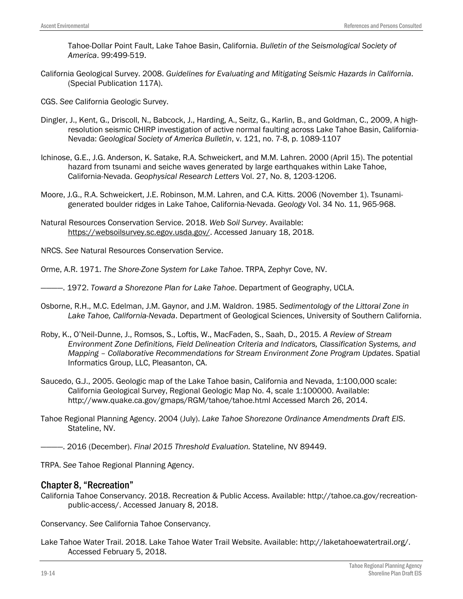Tahoe-Dollar Point Fault, Lake Tahoe Basin, California. *Bulletin of the Seismological Society of America*. 99:499-519.

California Geological Survey. 2008. *Guidelines for Evaluating and Mitigating Seismic Hazards in California*. (Special Publication 117A).

CGS. *See* California Geologic Survey.

- Dingler, J., Kent, G., Driscoll, N., Babcock, J., Harding, A., Seitz, G., Karlin, B., and Goldman, C., 2009, A highresolution seismic CHIRP investigation of active normal faulting across Lake Tahoe Basin, California-Nevada: *Geological Society of America Bulletin*, v. 121, no. 7-8, p. 1089-1107
- Ichinose, G.E., J.G. Anderson, K. Satake, R.A. Schweickert, and M.M. Lahren. 2000 (April 15). The potential hazard from tsunami and seiche waves generated by large earthquakes within Lake Tahoe, California-Nevada. *Geophysical Research Letters* Vol. 27, No. 8, 1203-1206.
- Moore, J.G., R.A. Schweickert, J.E. Robinson, M.M. Lahren, and C.A. Kitts. 2006 (November 1). Tsunamigenerated boulder ridges in Lake Tahoe, California-Nevada. *Geology* Vol. 34 No. 11, 965-968.
- Natural Resources Conservation Service. 2018. *Web Soil Survey*. Available: [https://websoilsurvey.sc.egov.usda.gov/.](https://websoilsurvey.sc.egov.usda.gov/?referrer=Citation.htm-HomeLink1) Accessed January 18, 2018.
- NRCS. *See* Natural Resources Conservation Service.
- Orme, A.R. 1971. *The Shore-Zone System for Lake Tahoe*. TRPA, Zephyr Cove, NV.
- ————. 1972. *Toward a Shorezone Plan for Lake Tahoe*. Department of Geography, UCLA.
- Osborne, R.H., M.C. Edelman, J.M. Gaynor, and J.M. Waldron. 1985. *Sedimentology of the Littoral Zone in Lake Tahoe, California-Nevada*. Department of Geological Sciences, University of Southern California.
- Roby, K., O'Neil‐Dunne, J., Romsos, S., Loftis, W., MacFaden, S., Saah, D., 2015. *A Review of Stream Environment Zone Definitions, Field Delineation Criteria and Indicators, Classification Systems, and Mapping – Collaborative Recommendations for Stream Environment Zone Program Updates*. Spatial Informatics Group, LLC, Pleasanton, CA.
- Saucedo, G.J., 2005. Geologic map of the Lake Tahoe basin, California and Nevada, 1:100,000 scale: California Geological Survey, Regional Geologic Map No. 4, scale 1:100000. Available: http://www.quake.ca.gov/gmaps/RGM/tahoe/tahoe.html Accessed March 26, 2014.
- Tahoe Regional Planning Agency. 2004 (July). *Lake Tahoe Shorezone Ordinance Amendments Draft EIS*. Stateline, NV.
- ————. 2016 (December). *Final 2015 Threshold Evaluation.* Stateline, NV 89449.

TRPA. *See* Tahoe Regional Planning Agency.

#### Chapter 8, "Recreation"

California Tahoe Conservancy. 2018. Recreation & Public Access. Available: http://tahoe.ca.gov/recreationpublic-access/. Accessed January 8, 2018.

Conservancy. *See* California Tahoe Conservancy.

Lake Tahoe Water Trail. 2018. Lake Tahoe Water Trail Website. Available: http://laketahoewatertrail.org/. Accessed February 5, 2018.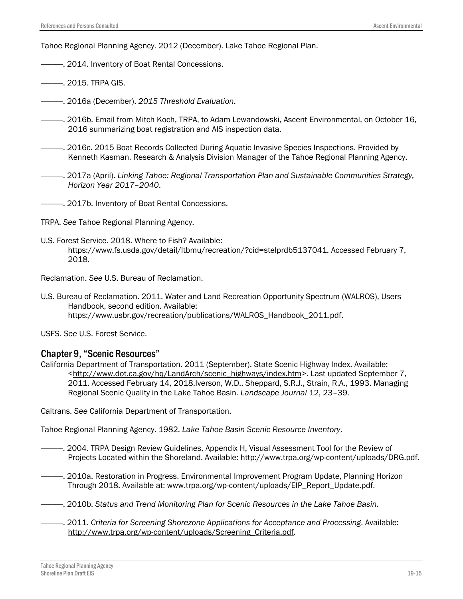Tahoe Regional Planning Agency. 2012 (December). Lake Tahoe Regional Plan.

- $-$  2014. Inventory of Boat Rental Concessions.
- ————. 2015. TRPA GIS.
- ————. 2016a (December). *2015 Threshold Evaluation*.
- ————. 2016b. Email from Mitch Koch, TRPA, to Adam Lewandowski, Ascent Environmental, on October 16, 2016 summarizing boat registration and AIS inspection data.
- ————. 2016c. 2015 Boat Records Collected During Aquatic Invasive Species Inspections. Provided by Kenneth Kasman, Research & Analysis Division Manager of the Tahoe Regional Planning Agency.
- ————. 2017a (April). *Linking Tahoe: Regional Transportation Plan and Sustainable Communities Strategy, Horizon Year 2017–2040*.
- 2017b. Inventory of Boat Rental Concessions.

TRPA. *See* Tahoe Regional Planning Agency.

U.S. Forest Service. 2018. Where to Fish? Available: https://www.fs.usda.gov/detail/ltbmu/recreation/?cid=stelprdb5137041. Accessed February 7, 2018.

Reclamation. *See* U.S. Bureau of Reclamation.

U.S. Bureau of Reclamation. 2011. Water and Land Recreation Opportunity Spectrum (WALROS), Users Handbook, second edition. Available: [https://www.usbr.gov/recreation/publications/WALROS\\_Handbook\\_2011.pdf.](https://www.usbr.gov/recreation/publications/WALROS_Handbook_2011.pdf)

USFS. *See* U.S. Forest Service.

#### Chapter 9, "Scenic Resources"

California Department of Transportation. 2011 (September). State Scenic Highway Index. Available: [<http://www.dot.ca.gov/hq/LandArch/scenic\\_highways/index.htm>](http://www.dot.ca.gov/hq/LandArch/scenic_highways/index.htm). Last updated September 7, 2011. Accessed February 14, 2018.Iverson, W.D., Sheppard, S.R.J., Strain, R.A., 1993. Managing Regional Scenic Quality in the Lake Tahoe Basin. *Landscape Journal* 12, 23–39.

Caltrans. *See* California Department of Transportation.

Tahoe Regional Planning Agency. 1982. *Lake Tahoe Basin Scenic Resource Inventory*.

- ————. 2004. TRPA Design Review Guidelines, Appendix H, Visual Assessment Tool for the Review of Projects Located within the Shoreland. Available: [http://www.trpa.org/wp-content/uploads/DRG.pdf.](http://www.trpa.org/wp-content/uploads/DRG.pdf)
- ————. 2010a. Restoration in Progress. Environmental Improvement Program Update, Planning Horizon Through 2018. Available at: [www.trpa.org/wp-content/uploads/EIP\\_Report\\_Update.pdf.](http://www.trpa.org/wp-content/uploads/EIP_Report_Update.pdf)
- ————. 2010b. *Status and Trend Monitoring Plan for Scenic Resources in the Lake Tahoe Basin*.
- ————. 2011. *Criteria for Screening Shorezone Applications for Acceptance and Processing*. Available: [http://www.trpa.org/wp-content/uploads/Screening\\_Criteria.pdf.](http://www.trpa.org/wp-content/uploads/Screening_Criteria.pdf)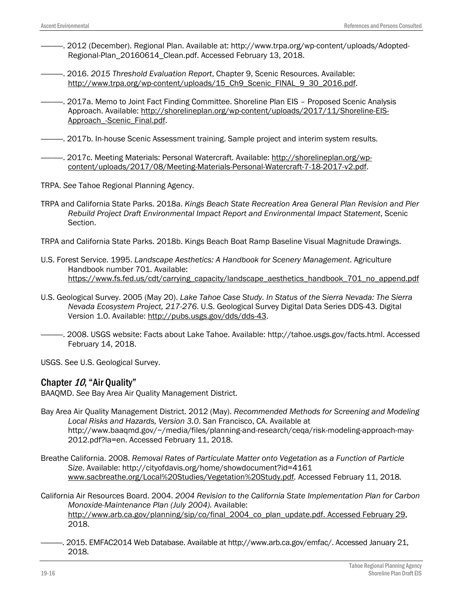- ————. 2012 (December). Regional Plan. Available at: [http://www.trpa.org/wp-content/uploads/Adopted-](http://www.trpa.org/wp-content/uploads/Adopted-Regional-Plan_20160614_Clean.pdf)[Regional-Plan\\_20160614\\_Clean.pdf.](http://www.trpa.org/wp-content/uploads/Adopted-Regional-Plan_20160614_Clean.pdf) Accessed February 13, 2018.
- ————. 2016. *2015 Threshold Evaluation Report*, Chapter 9, Scenic Resources. Available: http://www.trpa.org/wp-content/uploads/15 Ch9 Scenic\_FINAL\_9\_30\_2016.pdf.
- ————. 2017a. Memo to Joint Fact Finding Committee. Shoreline Plan EIS Proposed Scenic Analysis Approach. Available: [http://shorelineplan.org/wp-content/uploads/2017/11/Shoreline-EIS-](http://shorelineplan.org/wp-content/uploads/2017/11/Shoreline-EIS-Approach_-Scenic_Final.pdf)[Approach\\_-Scenic\\_Final.pdf.](http://shorelineplan.org/wp-content/uploads/2017/11/Shoreline-EIS-Approach_-Scenic_Final.pdf)
- ————. 2017b. In-house Scenic Assessment training. Sample project and interim system results.
- ————. 2017c. Meeting Materials: Personal Watercraft. Available: [http://shorelineplan.org/wp](http://shorelineplan.org/wp-content/uploads/2017/08/Meeting-Materials-Personal-Watercraft-7-18-2017-v2.pdf)[content/uploads/2017/08/Meeting-Materials-Personal-Watercraft-7-18-2017-v2.pdf.](http://shorelineplan.org/wp-content/uploads/2017/08/Meeting-Materials-Personal-Watercraft-7-18-2017-v2.pdf)
- TRPA. *See* Tahoe Regional Planning Agency.
- TRPA and California State Parks. 2018a. *Kings Beach State Recreation Area General Plan Revision and Pier Rebuild Project Draft Environmental Impact Report and Environmental Impact Statement*, Scenic Section.

TRPA and California State Parks. 2018b. Kings Beach Boat Ramp Baseline Visual Magnitude Drawings.

- U.S. Forest Service. 1995. *Landscape Aesthetics: A Handbook for Scenery Management*. Agriculture Handbook number 701. Available: [https://www.fs.fed.us/cdt/carrying\\_capacity/landscape\\_aesthetics\\_handbook\\_701\\_no\\_append.pdf](https://www.fs.fed.us/cdt/carrying_capacity/landscape_aesthetics_handbook_701_no_append.pdf)
- U.S. Geological Survey. 2005 (May 20). *Lake Tahoe Case Study. In Status of the Sierra Nevada: The Sierra Nevada Ecosystem Project, 217-276*. U.S. Geological Survey Digital Data Series DDS-43. Digital Version 1.0. Available: [http://pubs.usgs.gov/dds/dds-43.](http://pubs.usgs.gov/dds/dds-43)
- ————. 2008. USGS website: Facts about Lake Tahoe. Available: http://tahoe.usgs.gov/facts.html. Accessed February 14, 2018.
- USGS. See U.S. Geological Survey.

# Chapter 10, "Air Quality"

BAAQMD. *See* Bay Area Air Quality Management District.

- Bay Area Air Quality Management District. 2012 (May). *Recommended Methods for Screening and Modeling Local Risks and Hazards, Version 3.0*. San Francisco, CA. Available at http://www.baaqmd.gov/~/media/files/planning-and-research/ceqa/risk-modeling-approach-may-2012.pdf?la=en. Accessed February 11, 2018.
- Breathe California. 2008. *Removal Rates of Particulate Matter onto Vegetation as a Function of Particle Size*. Available: http://cityofdavis.org/home/showdocument?id=4161 [www.sacbreathe.org/Local%20Studies/Vegetation%20Study.pdf](http://www.sacbreathe.org/Local%20Studies/Vegetation%20Study.pdf)*.* Accessed February 11, 2018*.*
- California Air Resources Board. 2004. *2004 Revision to the California State Implementation Plan for Carbon Monoxide-Maintenance Plan (July 2004).* Available: [http://www.arb.ca.gov/planning/sip/co/final\\_2004\\_co\\_plan\\_update.pdf. Accessed February 29,](http://www.arb.ca.gov/planning/sip/co/final_2004_co_plan_update.pdf.%20Accessed%20February%2029) 2018.
- ————. 2015. EMFAC2014 Web Database. Available at http://www.arb.ca.gov/emfac/. Accessed January 21, 2018.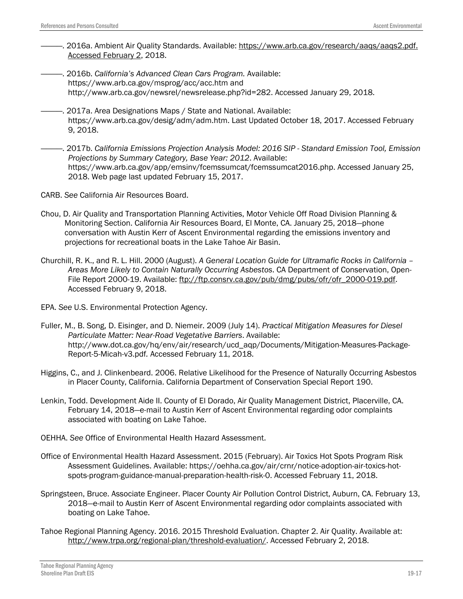- ————. 2016a. Ambient Air Quality Standards. Available: [https://www.arb.ca.gov/research/aaqs/aaqs2.pdf.](https://www.arb.ca.gov/research/aaqs/aaqs2.pdf.%20Accessed%20February%202)  [Accessed February 2,](https://www.arb.ca.gov/research/aaqs/aaqs2.pdf.%20Accessed%20February%202) 2018.
- ————. 2016b. *California's Advanced Clean Cars Program.* Available: https://www.arb.ca.gov/msprog/acc/acc.htm and http://www.arb.ca.gov/newsrel/newsrelease.php?id=282. Accessed January 29, 2018.
- 2017a. Area Designations Maps / State and National. Available: https://www.arb.ca.gov/desig/adm/adm.htm. Last Updated October 18, 2017. Accessed February 9, 2018.
- ————. 2017b. *California Emissions Projection Analysis Model: 2016 SIP - Standard Emission Tool, Emission Projections by Summary Category, Base Year: 2012*. Available: https://www.arb.ca.gov/app/emsinv/fcemssumcat/fcemssumcat2016.php. Accessed January 25, 2018. Web page last updated February 15, 2017.
- CARB. *See* California Air Resources Board.
- Chou, D. [Air Quality and Transportation Planning Activities,](https://www.arb.ca.gov/Planning/contacts.htm) Motor Vehicle Off Road Division Planning & Monitoring Section. California Air Resources Board, El Monte, CA. January 25, 2018—phone conversation with Austin Kerr of Ascent Environmental regarding the emissions inventory and projections for recreational boats in the Lake Tahoe Air Basin.
- Churchill, R. K., and R. L. Hill. 2000 (August). *A General Location Guide for Ultramafic Rocks in California – Areas More Likely to Contain Naturally Occurring Asbestos*. CA Department of Conservation, Open-File Report 2000-19. Available: [ftp://ftp.consrv.ca.gov/pub/dmg/pubs/ofr/ofr\\_2000-019.pdf.](ftp://ftp.consrv.ca.gov/pub/dmg/pubs/ofr/ofr_2000-019.pdf) Accessed February 9, 2018.
- EPA. *See* U.S. Environmental Protection Agency.
- Fuller, M., B. Song, D. Eisinger, and D. Niemeir. 2009 (July 14). *Practical Mitigation Measures for Diesel Particulate Matter: Near-Road Vegetative Barriers*. Available: http://www.dot.ca.gov/hq/env/air/research/ucd\_aqp/Documents/Mitigation-Measures-Package-Report-5-Micah-v3.pdf*.* Accessed February 11, 2018.
- Higgins, C., and J. Clinkenbeard. 2006. Relative Likelihood for the Presence of Naturally Occurring Asbestos in Placer County, California. California Department of Conservation Special Report 190.
- Lenkin, Todd. Development Aide II. County of El Dorado, Air Quality Management District, Placerville, CA. February 14, 2018—e-mail to Austin Kerr of Ascent Environmental regarding odor complaints associated with boating on Lake Tahoe.
- OEHHA. *See* Office of Environmental Health Hazard Assessment.
- Office of Environmental Health Hazard Assessment. 2015 (February). Air Toxics Hot Spots Program Risk Assessment Guidelines. Available: https://oehha.ca.gov/air/crnr/notice-adoption-air-toxics-hotspots-program-guidance-manual-preparation-health-risk-0. Accessed February 11, 2018.
- Springsteen, Bruce. Associate Engineer. Placer County Air Pollution Control District, Auburn, CA. February 13, 2018—e-mail to Austin Kerr of Ascent Environmental regarding odor complaints associated with boating on Lake Tahoe.
- Tahoe Regional Planning Agency. 2016. 2015 Threshold Evaluation. Chapter 2. Air Quality. Available at: [http://www.trpa.org/regional-plan/threshold-evaluation/.](http://www.trpa.org/regional-plan/threshold-evaluation/) Accessed February 2, 2018.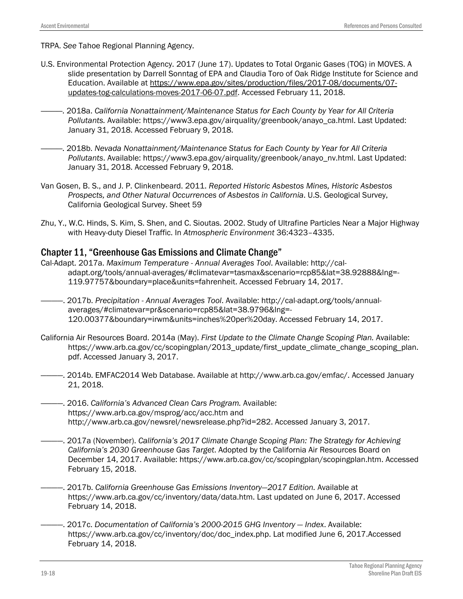TRPA. *See* Tahoe Regional Planning Agency.

- U.S. Environmental Protection Agency. 2017 (June 17). Updates to Total Organic Gases (TOG) in MOVES. A slide presentation by Darrell Sonntag of EPA and Claudia Toro of Oak Ridge Institute for Science and Education. Available at [https://www.epa.gov/sites/production/files/2017-08/documents/07](https://www.epa.gov/sites/production/files/2017-08/documents/07-updates-tog-calculations-moves-2017-06-07.pdf) [updates-tog-calculations-moves-2017-06-07.pdf.](https://www.epa.gov/sites/production/files/2017-08/documents/07-updates-tog-calculations-moves-2017-06-07.pdf) Accessed February 11, 2018.
	- ————. 2018a. *California Nonattainment/Maintenance Status for Each County by Year for All Criteria Pollutants.* Available: https://www3.epa.gov/airquality/greenbook/anayo\_ca.html. Last Updated: January 31, 2018. Accessed February 9, 2018.
- ————. 2018b. *Nevada Nonattainment/Maintenance Status for Each County by Year for All Criteria Pollutants*. Available: https://www3.epa.gov/airquality/greenbook/anayo\_nv.html. Last Updated: January 31, 2018. Accessed February 9, 2018.
- Van Gosen, B. S., and J. P. Clinkenbeard. 2011. *Reported Historic Asbestos Mines, Historic Asbestos Prospects, and Other Natural Occurrences of Asbestos in California*. U.S. Geological Survey, California Geological Survey. Sheet 59
- Zhu, Y., W.C. Hinds, S. Kim, S. Shen, and C. Sioutas. 2002. Study of Ultrafine Particles Near a Major Highway with Heavy-duty Diesel Traffic. In *Atmospheric Environment* 36:4323–4335.

# Chapter 11, "Greenhouse Gas Emissions and Climate Change"

- Cal-Adapt. 2017a. *Maximum Temperature - Annual Averages Tool*. Available: [http://cal](http://cal-adapt.org/tools/annual-averages/#climatevar=tasmax&scenario=rcp85&lat=38.92888&lng=-119.97757&boundary=place&units=fahrenheit)[adapt.org/tools/annual-averages/#climatevar=tasmax&scenario=rcp85&lat=38.92888&lng=-](http://cal-adapt.org/tools/annual-averages/#climatevar=tasmax&scenario=rcp85&lat=38.92888&lng=-119.97757&boundary=place&units=fahrenheit) [119.97757&boundary=place&units=fahrenheit.](http://cal-adapt.org/tools/annual-averages/#climatevar=tasmax&scenario=rcp85&lat=38.92888&lng=-119.97757&boundary=place&units=fahrenheit) Accessed February 14, 2017.
- ————. 2017b. *Precipitation - Annual Averages Tool*. Available: [http://cal-adapt.org/tools/annual](http://cal-adapt.org/tools/annual-averages/#climatevar=pr&scenario=rcp85&lat=38.9796&lng=-120.00377&boundary=irwm&units=inches%20per%20day)[averages/#climatevar=pr&scenario=rcp85&lat=38.9796&lng=-](http://cal-adapt.org/tools/annual-averages/#climatevar=pr&scenario=rcp85&lat=38.9796&lng=-120.00377&boundary=irwm&units=inches%20per%20day) [120.00377&boundary=irwm&units=inches%20per%20day.](http://cal-adapt.org/tools/annual-averages/#climatevar=pr&scenario=rcp85&lat=38.9796&lng=-120.00377&boundary=irwm&units=inches%20per%20day) Accessed February 14, 2017.
- California Air Resources Board. 2014a (May). *First Update to the Climate Change Scoping Plan.* Available: https://www.arb.ca.gov/cc/scopingplan/2013\_update/first\_update\_climate\_change\_scoping\_plan. pdf. Accessed January 3, 2017.
- ————. 2014b. EMFAC2014 Web Database. Available at http://www.arb.ca.gov/emfac/. Accessed January 21, 2018.
- ————. 2016. *California's Advanced Clean Cars Program.* Available: https://www.arb.ca.gov/msprog/acc/acc.htm and http://www.arb.ca.gov/newsrel/newsrelease.php?id=282. Accessed January 3, 2017.
- -. 2017a (November). *California's 2017 Climate Change Scoping Plan: The Strategy for Achieving California's 2030 Greenhouse Gas Target*. Adopted by the California Air Resources Board on December 14, 2017. Available: [https://www.arb.ca.gov/cc/scopingplan/scopingplan.htm.](https://www.arb.ca.gov/cc/scopingplan/scopingplan.htm) Accessed February 15, 2018.
- ————. 2017b. *California Greenhouse Gas Emissions Inventory—2017 Edition.* Available at [https://www.arb.ca.gov/cc/inventory/data/data.htm.](https://www.arb.ca.gov/cc/inventory/data/data.htm) Last updated on June 6, 2017. Accessed February 14, 2018.
- ————. 2017c. *Documentation of California's 2000-2015 GHG Inventory — Index*. Available: [https://www.arb.ca.gov/cc/inventory/doc/doc\\_index.php.](https://www.arb.ca.gov/cc/inventory/doc/doc_index.php) Lat modified June 6, 2017.Accessed February 14, 2018.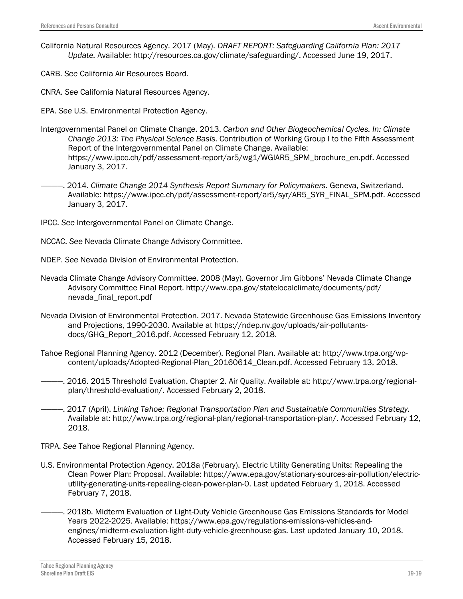- California Natural Resources Agency. 2017 (May). *DRAFT REPORT: Safeguarding California Plan: 2017 Update.* Available: [http://resources.ca.gov/climate/safeguarding/.](http://resources.ca.gov/climate/safeguarding/) Accessed June 19, 2017.
- CARB. *See* California Air Resources Board.
- CNRA. *See* California Natural Resources Agency.
- EPA. *See* U.S. Environmental Protection Agency.
- Intergovernmental Panel on Climate Change. 2013. *Carbon and Other Biogeochemical Cycles. In: Climate Change 2013: The Physical Science Basis*. Contribution of Working Group I to the Fifth Assessment Report of the Intergovernmental Panel on Climate Change. Available: https://www.ipcc.ch/pdf/assessment-report/ar5/wg1/WGIAR5\_SPM\_brochure\_en.pdf. Accessed January 3, 2017.
- ————. 2014. *Climate Change 2014 Synthesis Report Summary for Policymakers*. Geneva, Switzerland. Available: https://www.ipcc.ch/pdf/assessment-report/ar5/syr/AR5\_SYR\_FINAL\_SPM.pdf. Accessed January 3, 2017.
- IPCC. *See* Intergovernmental Panel on Climate Change.
- NCCAC. *See* Nevada Climate Change Advisory Committee.
- NDEP. *See* Nevada Division of Environmental Protection.
- Nevada Climate Change Advisory Committee. 2008 (May). Governor Jim Gibbons' Nevada Climate Change Advisory Committee Final Report. http://www.epa.gov/statelocalclimate/documents/pdf/ nevada\_final\_report.pdf
- Nevada Division of Environmental Protection. 2017. Nevada Statewide Greenhouse Gas Emissions Inventory and Projections, 1990-2030. Available at [https://ndep.nv.gov/uploads/air-pollutants](https://ndep.nv.gov/uploads/air-pollutants-docs/GHG_Report_2016.pdf)[docs/GHG\\_Report\\_2016.pdf.](https://ndep.nv.gov/uploads/air-pollutants-docs/GHG_Report_2016.pdf) Accessed February 12, 2018.
- Tahoe Regional Planning Agency. 2012 (December). Regional Plan. Available at: [http://www.trpa.org/wp](http://www.trpa.org/wp-content/uploads/Adopted-Regional-Plan_20160614_Clean.pdf)[content/uploads/Adopted-Regional-Plan\\_20160614\\_Clean.pdf.](http://www.trpa.org/wp-content/uploads/Adopted-Regional-Plan_20160614_Clean.pdf) Accessed February 13, 2018.
- ————. 2016. 2015 Threshold Evaluation. Chapter 2. Air Quality. Available at: [http://www.trpa.org/regional](http://www.trpa.org/regional-plan/threshold-evaluation/)[plan/threshold-evaluation/.](http://www.trpa.org/regional-plan/threshold-evaluation/) Accessed February 2, 2018.
- ————. 2017 (April). *Linking Tahoe: Regional Transportation Plan and Sustainable Communities Strategy.* Available at: http://www.trpa.org/regional-plan/regional-transportation-plan/. Accessed February 12, 2018.
- TRPA. *See* Tahoe Regional Planning Agency.
- U.S. Environmental Protection Agency. 2018a (February). Electric Utility Generating Units: Repealing the Clean Power Plan: Proposal. Available: [https://www.epa.gov/stationary-sources-air-pollution/electric](https://www.epa.gov/stationary-sources-air-pollution/electric-utility-generating-units-repealing-clean-power-plan-0)[utility-generating-units-repealing-clean-power-plan-0.](https://www.epa.gov/stationary-sources-air-pollution/electric-utility-generating-units-repealing-clean-power-plan-0) Last updated February 1, 2018. Accessed February 7, 2018.
- 2018b. Midterm Evaluation of Light-Duty Vehicle Greenhouse Gas Emissions Standards for Model Years 2022-2025. Available: [https://www.epa.gov/regulations-emissions-vehicles-and](https://www.epa.gov/regulations-emissions-vehicles-and-engines/midterm-evaluation-light-duty-vehicle-greenhouse-gas)[engines/midterm-evaluation-light-duty-vehicle-greenhouse-gas.](https://www.epa.gov/regulations-emissions-vehicles-and-engines/midterm-evaluation-light-duty-vehicle-greenhouse-gas) Last updated January 10, 2018. Accessed February 15, 2018.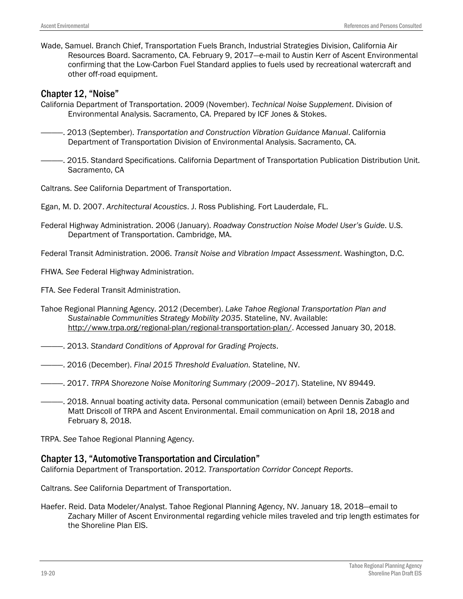Wade, Samuel. Branch Chief, Transportation Fuels Branch, Industrial Strategies Division, California Air Resources Board. Sacramento, CA. February 9, 2017―e-mail to Austin Kerr of Ascent Environmental confirming that the Low-Carbon Fuel Standard applies to fuels used by recreational watercraft and other off-road equipment.

#### Chapter 12, "Noise"

- California Department of Transportation. 2009 (November). *Technical Noise Supplement*. Division of Environmental Analysis. Sacramento, CA. Prepared by ICF Jones & Stokes.
- ————. 2013 (September). *Transportation and Construction Vibration Guidance Manual*. California Department of Transportation Division of Environmental Analysis. Sacramento, CA.
- ————. 2015. Standard Specifications. California Department of Transportation Publication Distribution Unit. Sacramento, CA
- Caltrans. *See* California Department of Transportation.
- Egan, M. D. 2007. *Architectural Acoustics*. J. Ross Publishing. Fort Lauderdale, FL.
- Federal Highway Administration. 2006 (January). *Roadway Construction Noise Model User's Guide*. U.S. Department of Transportation. Cambridge, MA.
- Federal Transit Administration. 2006. *Transit Noise and Vibration Impact Assessment*. Washington, D.C.

FHWA. *See* Federal Highway Administration.

FTA. *See* Federal Transit Administration.

- Tahoe Regional Planning Agency. 2012 (December). *Lake Tahoe Regional Transportation Plan and Sustainable Communities Strategy Mobility 2035*. Stateline, NV. Available: [http://www.trpa.org/regional-plan/regional-transportation-plan/.](http://www.trpa.org/regional-plan/regional-transportation-plan/) Accessed January 30, 2018.
- ————. 2013. *Standard Conditions of Approval for Grading Projects*.
- ————. 2016 (December). *Final 2015 Threshold Evaluation.* Stateline, NV.
- ————. 2017. *TRPA Shorezone Noise Monitoring Summary (2009–2017*). Stateline, NV 89449.
- ————. 2018. Annual boating activity data. Personal communication (email) between Dennis Zabaglo and Matt Driscoll of TRPA and Ascent Environmental. Email communication on April 18, 2018 and February 8, 2018.

TRPA. *See* Tahoe Regional Planning Agency.

# Chapter 13, "Automotive Transportation and Circulation"

California Department of Transportation. 2012. *Transportation Corridor Concept Reports*.

Caltrans. *See* California Department of Transportation.

Haefer. Reid. Data Modeler/Analyst. Tahoe Regional Planning Agency, NV. January 18, 2018—email to Zachary Miller of Ascent Environmental regarding vehicle miles traveled and trip length estimates for the Shoreline Plan EIS.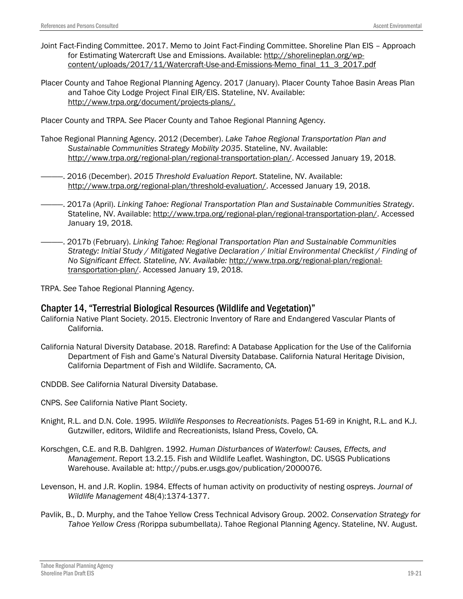- Joint Fact-Finding Committee. 2017. Memo to Joint Fact-Finding Committee. Shoreline Plan EIS Approach for Estimating Watercraft Use and Emissions. Available: [http://shorelineplan.org/wp](http://shorelineplan.org/wp-content/uploads/2017/11/Watercraft-Use-and-Emissions-Memo_final_11_3_2017.pdf)[content/uploads/2017/11/Watercraft-Use-and-Emissions-Memo\\_final\\_11\\_3\\_2017.pdf](http://shorelineplan.org/wp-content/uploads/2017/11/Watercraft-Use-and-Emissions-Memo_final_11_3_2017.pdf)
- Placer County and Tahoe Regional Planning Agency. 2017 (January). Placer County Tahoe Basin Areas Plan and Tahoe City Lodge Project Final EIR/EIS. Stateline, NV. Available: [http://www.trpa.org/document/projects-plans/.](http://www.trpa.org/document/projects-plans/)

Placer County and TRPA. *See* Placer County and Tahoe Regional Planning Agency.

- Tahoe Regional Planning Agency. 2012 (December). *Lake Tahoe Regional Transportation Plan and Sustainable Communities Strategy Mobility 2035*. Stateline, NV. Available: [http://www.trpa.org/regional-plan/regional-transportation-plan/.](http://www.trpa.org/regional-plan/regional-transportation-plan/) Accessed January 19, 2018.
- ————. 2016 (December). *2015 Threshold Evaluation Report*. Stateline, NV. Available: [http://www.trpa.org/regional-plan/threshold-evaluation/.](http://www.trpa.org/regional-plan/threshold-evaluation/) Accessed January 19, 2018.
- ————. 2017a (April). *Linking Tahoe: Regional Transportation Plan and Sustainable Communities Strategy*. Stateline, NV. Available: [http://www.trpa.org/regional-plan/regional-transportation-plan/.](http://www.trpa.org/regional-plan/regional-transportation-plan/) Accessed January 19, 2018.
- ————. 2017b (February). *Linking Tahoe: Regional Transportation Plan and Sustainable Communities Strategy: Initial Study / Mitigated Negative Declaration / Initial Environmental Checklist / Finding of No Significant Effect. Stateline, NV. Available:* [http://www.trpa.org/regional-plan/regional](http://www.trpa.org/regional-plan/regional-transportation-plan/)[transportation-plan/.](http://www.trpa.org/regional-plan/regional-transportation-plan/) Accessed January 19, 2018.

TRPA. *See* Tahoe Regional Planning Agency.

# Chapter 14, "Terrestrial Biological Resources (Wildlife and Vegetation)"

- California Native Plant Society. 2015. Electronic Inventory of Rare and Endangered Vascular Plants of California.
- California Natural Diversity Database. 2018. Rarefind: A Database Application for the Use of the California Department of Fish and Game's Natural Diversity Database. California Natural Heritage Division, California Department of Fish and Wildlife. Sacramento, CA.
- CNDDB. *See* California Natural Diversity Database.
- CNPS. *See* California Native Plant Society.
- Knight, R.L. and D.N. Cole. 1995. *Wildlife Responses to Recreationists*. Pages 51-69 in Knight, R.L. and K.J. Gutzwiller, editors, Wildlife and Recreationists, Island Press, Covelo, CA.
- Korschgen, C.E. and R.B. Dahlgren. 1992. *Human Disturbances of Waterfowl: Causes, Effects, and Management*. Report 13.2.15. Fish and Wildlife Leaflet. Washington, DC. USGS Publications Warehouse. Available at: http://pubs.er.usgs.gov/publication/2000076.
- Levenson, H. and J.R. Koplin. 1984. Effects of human activity on productivity of nesting ospreys. *Journal of Wildlife Management* 48(4):1374-1377.
- Pavlik, B., D. Murphy, and the Tahoe Yellow Cress Technical Advisory Group. 2002. *Conservation Strategy for Tahoe Yellow Cress (*Rorippa subumbellata*)*. Tahoe Regional Planning Agency. Stateline, NV. August.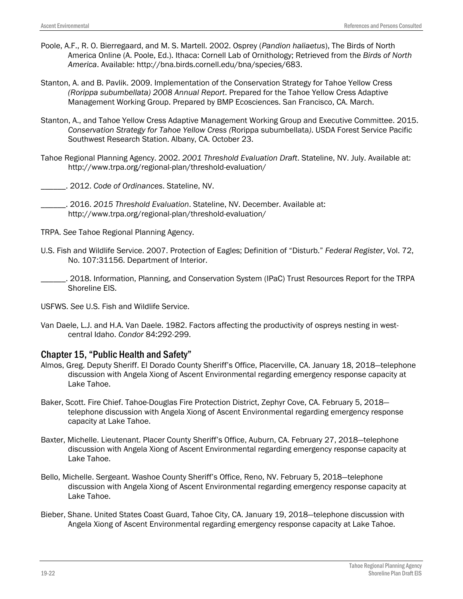- Poole, A.F., R. O. Bierregaard, and M. S. Martell. 2002. Osprey (*Pandion haliaetus*), The Birds of North America Online (A. Poole, Ed.). Ithaca: Cornell Lab of Ornithology; Retrieved from the *Birds of North America*. Available: http://bna.birds.cornell.edu/bna/species/683.
- Stanton, A. and B. Pavlik. 2009. Implementation of the Conservation Strategy for Tahoe Yellow Cress *(Rorippa subumbellata) 2008 Annual Report*. Prepared for the Tahoe Yellow Cress Adaptive Management Working Group. Prepared by BMP Ecosciences. San Francisco, CA. March.
- Stanton, A., and Tahoe Yellow Cress Adaptive Management Working Group and Executive Committee. 2015. *Conservation Strategy for Tahoe Yellow Cress (*Rorippa subumbellata*)*. USDA Forest Service Pacific Southwest Research Station. Albany, CA. October 23.
- Tahoe Regional Planning Agency. 2002. *2001 Threshold Evaluation Draft*. Stateline, NV. July. Available at: http://www.trpa.org/regional-plan/threshold-evaluation/
	- \_\_\_\_\_\_. 2012. *Code of Ordinances*. Stateline, NV.
- \_\_\_\_\_\_. 2016. *2015 Threshold Evaluation*. Stateline, NV. December. Available at: http://www.trpa.org/regional-plan/threshold-evaluation/
- TRPA. *See* Tahoe Regional Planning Agency.
- U.S. Fish and Wildlife Service. 2007. Protection of Eagles; Definition of "Disturb." *Federal Register*, Vol. 72, No. 107:31156. Department of Interior.
- \_\_\_\_\_\_. 2018. Information, Planning, and Conservation System (IPaC) Trust Resources Report for the TRPA Shoreline EIS.
- USFWS. *See* U.S. Fish and Wildlife Service.
- Van Daele, L.J. and H.A. Van Daele. 1982. Factors affecting the productivity of ospreys nesting in westcentral Idaho. *Condor* 84:292-299.

# Chapter 15, "Public Health and Safety"

- Almos, Greg. Deputy Sheriff. El Dorado County Sheriff's Office, Placerville, CA. January 18, 2018—telephone discussion with Angela Xiong of Ascent Environmental regarding emergency response capacity at Lake Tahoe.
- Baker, Scott. Fire Chief. Tahoe-Douglas Fire Protection District, Zephyr Cove, CA. February 5, 2018 telephone discussion with Angela Xiong of Ascent Environmental regarding emergency response capacity at Lake Tahoe.
- Baxter, Michelle. Lieutenant. Placer County Sheriff's Office, Auburn, CA. February 27, 2018—telephone discussion with Angela Xiong of Ascent Environmental regarding emergency response capacity at Lake Tahoe.
- Bello, Michelle. Sergeant. Washoe County Sheriff's Office, Reno, NV. February 5, 2018—telephone discussion with Angela Xiong of Ascent Environmental regarding emergency response capacity at Lake Tahoe.
- Bieber, Shane. United States Coast Guard, Tahoe City, CA. January 19, 2018—telephone discussion with Angela Xiong of Ascent Environmental regarding emergency response capacity at Lake Tahoe.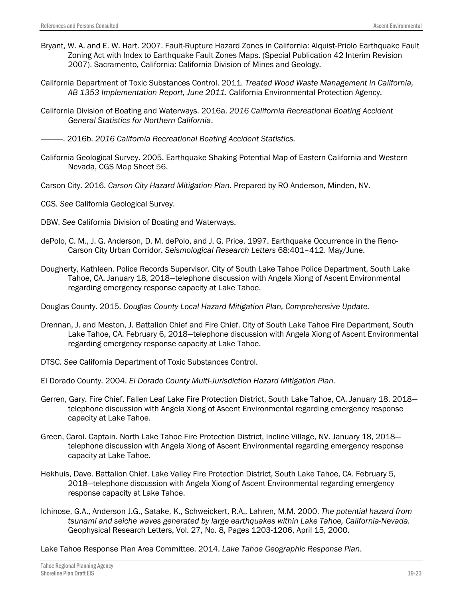- Bryant, W. A. and E. W. Hart. 2007. Fault-Rupture Hazard Zones in California: Alquist-Priolo Earthquake Fault Zoning Act with Index to Earthquake Fault Zones Maps. (Special Publication 42 Interim Revision 2007). Sacramento, California: California Division of Mines and Geology.
- California Department of Toxic Substances Control. 2011. *Treated Wood Waste Management in California, AB 1353 Implementation Report, June 2011.* California Environmental Protection Agency.
- California Division of Boating and Waterways. 2016a. *2016 California Recreational Boating Accident General Statistics for Northern California*.

————. 2016b. *2016 California Recreational Boating Accident Statistics.*

- California Geological Survey. 2005. Earthquake Shaking Potential Map of Eastern California and Western Nevada, CGS Map Sheet 56.
- Carson City. 2016. *Carson City Hazard Mitigation Plan*. Prepared by RO Anderson, Minden, NV.
- CGS. *See* California Geological Survey.
- DBW. *See* California Division of Boating and Waterways.
- dePolo, C. M., J. G. Anderson, D. M. dePolo, and J. G. Price. 1997. Earthquake Occurrence in the Reno-Carson City Urban Corridor. *Seismological Research Letters* 68:401–412. May/June.
- Dougherty, Kathleen. Police Records Supervisor. City of South Lake Tahoe Police Department, South Lake Tahoe, CA. January 18, 2018—telephone discussion with Angela Xiong of Ascent Environmental regarding emergency response capacity at Lake Tahoe.

Douglas County. 2015. *Douglas County Local Hazard Mitigation Plan, Comprehensive Update.*

- Drennan, J. and Meston, J. Battalion Chief and Fire Chief. City of South Lake Tahoe Fire Department, South Lake Tahoe, CA. February 6, 2018—telephone discussion with Angela Xiong of Ascent Environmental regarding emergency response capacity at Lake Tahoe.
- DTSC. *See* California Department of Toxic Substances Control.
- El Dorado County. 2004. *El Dorado County Multi-Jurisdiction Hazard Mitigation Plan.*
- Gerren, Gary. Fire Chief. Fallen Leaf Lake Fire Protection District, South Lake Tahoe, CA. January 18, 2018 telephone discussion with Angela Xiong of Ascent Environmental regarding emergency response capacity at Lake Tahoe.
- Green, Carol. Captain. North Lake Tahoe Fire Protection District, Incline Village, NV. January 18, 2018 telephone discussion with Angela Xiong of Ascent Environmental regarding emergency response capacity at Lake Tahoe.
- Hekhuis, Dave. Battalion Chief. Lake Valley Fire Protection District, South Lake Tahoe, CA. February 5, 2018—telephone discussion with Angela Xiong of Ascent Environmental regarding emergency response capacity at Lake Tahoe.
- Ichinose, G.A., Anderson J.G., Satake, K., Schweickert, R.A., Lahren, M.M. 2000. *The potential hazard from tsunami and seiche waves generated by large earthquakes within Lake Tahoe, California-Nevada.*  Geophysical Research Letters, Vol. 27, No. 8, Pages 1203-1206, April 15, 2000.

Lake Tahoe Response Plan Area Committee. 2014. *Lake Tahoe Geographic Response Plan*.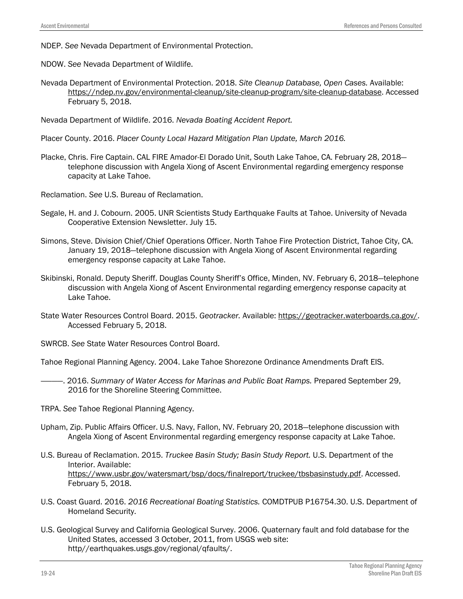NDEP. *See* Nevada Department of Environmental Protection.

NDOW. *See* Nevada Department of Wildlife.

Nevada Department of Environmental Protection. 2018. *Site Cleanup Database, Open Cases.* Available: [https://ndep.nv.gov/environmental-cleanup/site-cleanup-program/site-cleanup-database.](https://ndep.nv.gov/environmental-cleanup/site-cleanup-program/site-cleanup-database) Accessed February 5, 2018.

Nevada Department of Wildlife. 2016. *Nevada Boating Accident Report.*

- Placer County. 2016. *Placer County Local Hazard Mitigation Plan Update, March 2016.*
- Placke, Chris. Fire Captain. CAL FIRE Amador-El Dorado Unit, South Lake Tahoe, CA. February 28, 2018 telephone discussion with Angela Xiong of Ascent Environmental regarding emergency response capacity at Lake Tahoe.

Reclamation. *See* U.S. Bureau of Reclamation.

- Segale, H. and J. Cobourn. 2005. UNR Scientists Study Earthquake Faults at Tahoe. University of Nevada Cooperative Extension Newsletter. July 15.
- Simons, Steve. Division Chief/Chief Operations Officer. North Tahoe Fire Protection District, Tahoe City, CA. January 19, 2018—telephone discussion with Angela Xiong of Ascent Environmental regarding emergency response capacity at Lake Tahoe.
- Skibinski, Ronald. Deputy Sheriff. Douglas County Sheriff's Office, Minden, NV. February 6, 2018—telephone discussion with Angela Xiong of Ascent Environmental regarding emergency response capacity at Lake Tahoe.
- State Water Resources Control Board. 2015. *Geotracker.* Available: [https://geotracker.waterboards.ca.gov/.](https://geotracker.waterboards.ca.gov/) Accessed February 5, 2018.
- SWRCB. *See* State Water Resources Control Board.

Tahoe Regional Planning Agency. 2004. Lake Tahoe Shorezone Ordinance Amendments Draft EIS.

- ————. 2016. *Summary of Water Access for Marinas and Public Boat Ramps.* Prepared September 29, 2016 for the Shoreline Steering Committee.
- TRPA. *See* Tahoe Regional Planning Agency.
- Upham, Zip. Public Affairs Officer. U.S. Navy, Fallon, NV. February 20, 2018—telephone discussion with Angela Xiong of Ascent Environmental regarding emergency response capacity at Lake Tahoe.
- U.S. Bureau of Reclamation. 2015. *Truckee Basin Study; Basin Study Report.* U.S. Department of the Interior. Available: [https://www.usbr.gov/watersmart/bsp/docs/finalreport/truckee/tbsbasinstudy.pdf.](https://www.usbr.gov/watersmart/bsp/docs/finalreport/truckee/tbsbasinstudy.pdf) Accessed. February 5, 2018.
- U.S. Coast Guard. 2016. *2016 Recreational Boating Statistics.* COMDTPUB P16754.30. U.S. Department of Homeland Security.
- U.S. Geological Survey and California Geological Survey. 2006. Quaternary fault and fold database for the United States, accessed 3 October, 2011, from USGS web site: http//earthquakes.usgs.gov/regional/qfaults/.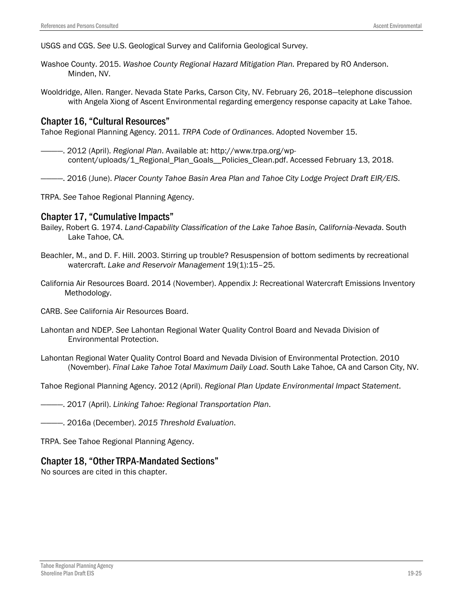USGS and CGS. *See* U.S. Geological Survey and California Geological Survey.

Washoe County. 2015. *Washoe County Regional Hazard Mitigation Plan.* Prepared by RO Anderson. Minden, NV.

Wooldridge, Allen. Ranger. Nevada State Parks, Carson City, NV. February 26, 2018—telephone discussion with Angela Xiong of Ascent Environmental regarding emergency response capacity at Lake Tahoe.

#### Chapter 16, "Cultural Resources"

Tahoe Regional Planning Agency. 2011. *TRPA Code of Ordinances*. Adopted November 15.

————. 2012 (April). *Regional Plan*. Available at: http://www.trpa.org/wpcontent/uploads/1\_Regional\_Plan\_Goals\_\_Policies\_Clean.pdf. Accessed February 13, 2018.

————. 2016 (June). *Placer County Tahoe Basin Area Plan and Tahoe City Lodge Project Draft EIR/EIS*.

TRPA. *See* Tahoe Regional Planning Agency.

## Chapter 17, "Cumulative Impacts"

- Bailey, Robert G. 1974. *Land-Capability Classification of the Lake Tahoe Basin, California-Nevada*. South Lake Tahoe, CA.
- Beachler, M., and D. F. Hill. 2003. Stirring up trouble? Resuspension of bottom sediments by recreational watercraft. *Lake and Reservoir Management* 19(1):15–25.
- California Air Resources Board. 2014 (November). Appendix J: Recreational Watercraft Emissions Inventory Methodology.
- CARB. *See* California Air Resources Board.
- Lahontan and NDEP. *See* Lahontan Regional Water Quality Control Board and Nevada Division of Environmental Protection.
- Lahontan Regional Water Quality Control Board and Nevada Division of Environmental Protection. 2010 (November). *Final Lake Tahoe Total Maximum Daily Load*. South Lake Tahoe, CA and Carson City, NV.

Tahoe Regional Planning Agency. 2012 (April). *Regional Plan Update Environmental Impact Statement*.

————. 2017 (April). *Linking Tahoe: Regional Transportation Plan*.

————. 2016a (December). *2015 Threshold Evaluation*.

TRPA. See Tahoe Regional Planning Agency.

#### Chapter 18, "Other TRPA-Mandated Sections"

No sources are cited in this chapter.